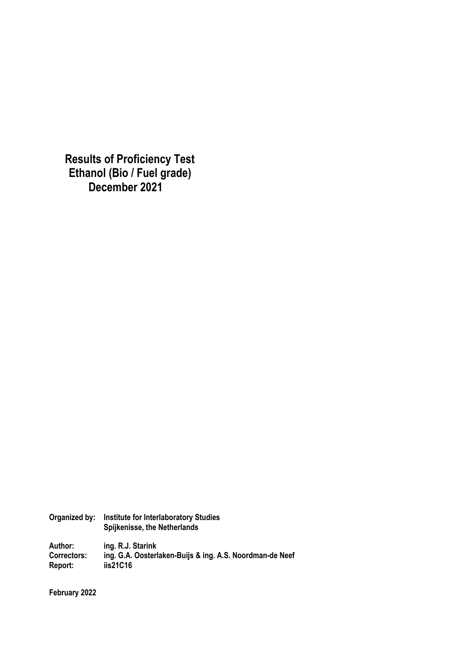**Results of Proficiency Test Ethanol (Bio / Fuel grade) December 2021**

| Organized by:      | <b>Institute for Interlaboratory Studies</b><br>Spijkenisse, the Netherlands |
|--------------------|------------------------------------------------------------------------------|
| Author:            | ing. R.J. Starink                                                            |
| <b>Correctors:</b> | ing. G.A. Oosterlaken-Buijs & ing. A.S. Noordman-de Neef                     |
| Report:            | iis21C16                                                                     |

**February 2022**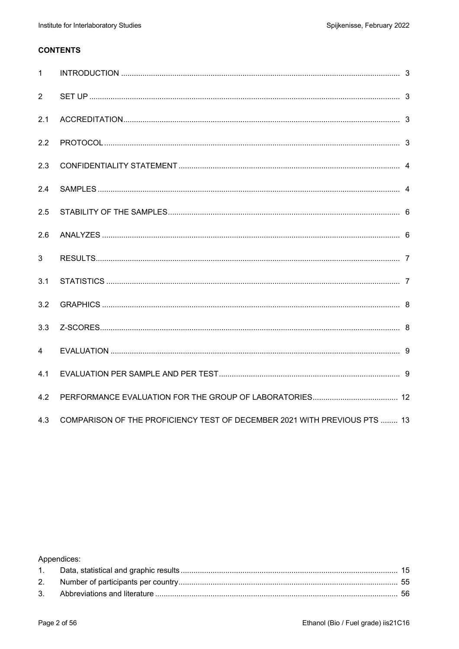## **CONTENTS**

| $\mathbf{1}$   |                                                                           |  |
|----------------|---------------------------------------------------------------------------|--|
| 2              |                                                                           |  |
| 2.1            |                                                                           |  |
| 2.2            |                                                                           |  |
| 2.3            |                                                                           |  |
| 2.4            |                                                                           |  |
| 2.5            |                                                                           |  |
| 2.6            |                                                                           |  |
| 3              |                                                                           |  |
| 3.1            |                                                                           |  |
| 3.2            |                                                                           |  |
| 3.3            |                                                                           |  |
| $\overline{4}$ |                                                                           |  |
| 4.1            |                                                                           |  |
| 4.2            |                                                                           |  |
| 4.3            | COMPARISON OF THE PROFICIENCY TEST OF DECEMBER 2021 WITH PREVIOUS PTS  13 |  |

Appendices: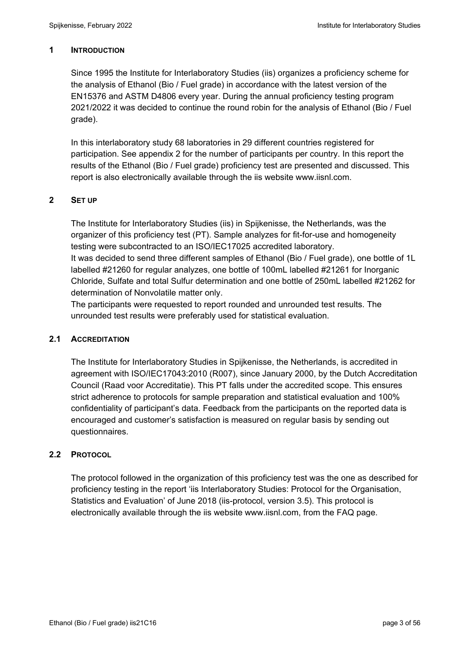### **1 INTRODUCTION**

Since 1995 the Institute for Interlaboratory Studies (iis) organizes a proficiency scheme for the analysis of Ethanol (Bio / Fuel grade) in accordance with the latest version of the EN15376 and ASTM D4806 every year. During the annual proficiency testing program 2021/2022 it was decided to continue the round robin for the analysis of Ethanol (Bio / Fuel grade).

In this interlaboratory study 68 laboratories in 29 different countries registered for participation. See appendix 2 for the number of participants per country. In this report the results of the Ethanol (Bio / Fuel grade) proficiency test are presented and discussed. This report is also electronically available through the iis website www.iisnl.com.

## **2 SET UP**

The Institute for Interlaboratory Studies (iis) in Spijkenisse, the Netherlands, was the organizer of this proficiency test (PT). Sample analyzes for fit-for-use and homogeneity testing were subcontracted to an ISO/IEC17025 accredited laboratory.

It was decided to send three different samples of Ethanol (Bio / Fuel grade), one bottle of 1L labelled #21260 for regular analyzes, one bottle of 100mL labelled #21261 for Inorganic Chloride, Sulfate and total Sulfur determination and one bottle of 250mL labelled #21262 for determination of Nonvolatile matter only.

The participants were requested to report rounded and unrounded test results. The unrounded test results were preferably used for statistical evaluation.

### **2.1 ACCREDITATION**

The Institute for Interlaboratory Studies in Spijkenisse, the Netherlands, is accredited in agreement with ISO/IEC17043:2010 (R007), since January 2000, by the Dutch Accreditation Council (Raad voor Accreditatie). This PT falls under the accredited scope. This ensures strict adherence to protocols for sample preparation and statistical evaluation and 100% confidentiality of participant's data. Feedback from the participants on the reported data is encouraged and customer's satisfaction is measured on regular basis by sending out questionnaires.

## **2.2 PROTOCOL**

The protocol followed in the organization of this proficiency test was the one as described for proficiency testing in the report 'iis Interlaboratory Studies: Protocol for the Organisation, Statistics and Evaluation' of June 2018 (iis-protocol, version 3.5). This protocol is electronically available through the iis website www.iisnl.com, from the FAQ page.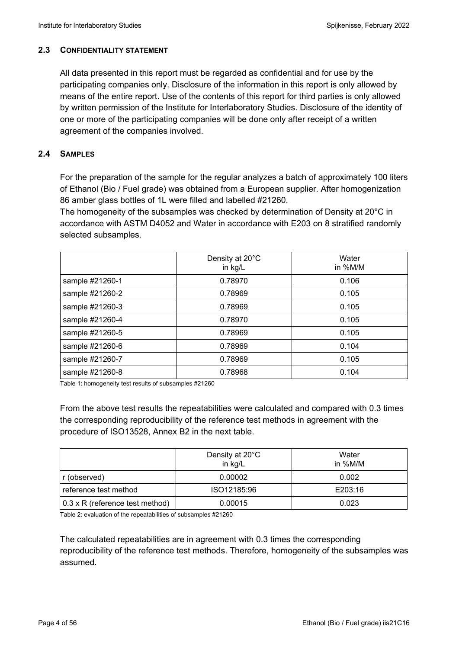### **2.3 CONFIDENTIALITY STATEMENT**

All data presented in this report must be regarded as confidential and for use by the participating companies only. Disclosure of the information in this report is only allowed by means of the entire report. Use of the contents of this report for third parties is only allowed by written permission of the Institute for Interlaboratory Studies. Disclosure of the identity of one or more of the participating companies will be done only after receipt of a written agreement of the companies involved.

## **2.4 SAMPLES**

For the preparation of the sample for the regular analyzes a batch of approximately 100 liters of Ethanol (Bio / Fuel grade) was obtained from a European supplier. After homogenization 86 amber glass bottles of 1L were filled and labelled #21260.

The homogeneity of the subsamples was checked by determination of Density at 20°C in accordance with ASTM D4052 and Water in accordance with E203 on 8 stratified randomly selected subsamples.

|                 | Density at 20°C<br>in kg/L | Water<br>in %M/M |
|-----------------|----------------------------|------------------|
| sample #21260-1 | 0.78970                    | 0.106            |
| sample #21260-2 | 0.78969                    | 0.105            |
| sample #21260-3 | 0.78969                    | 0.105            |
| sample #21260-4 | 0.78970                    | 0.105            |
| sample #21260-5 | 0.78969                    | 0.105            |
| sample #21260-6 | 0.78969                    | 0.104            |
| sample #21260-7 | 0.78969                    | 0.105            |
| sample #21260-8 | 0.78968                    | 0.104            |

Table 1: homogeneity test results of subsamples #21260

From the above test results the repeatabilities were calculated and compared with 0.3 times the corresponding reproducibility of the reference test methods in agreement with the procedure of ISO13528, Annex B2 in the next table.

|                                 | Density at 20°C<br>in kg/L | Water<br>in %M/M |
|---------------------------------|----------------------------|------------------|
| r (observed)                    | 0.00002                    | 0.002            |
| reference test method           | ISO12185:96                | E203:16          |
| 0.3 x R (reference test method) | 0.00015                    | 0.023            |

Table 2: evaluation of the repeatabilities of subsamples #21260

The calculated repeatabilities are in agreement with 0.3 times the corresponding reproducibility of the reference test methods. Therefore, homogeneity of the subsamples was assumed.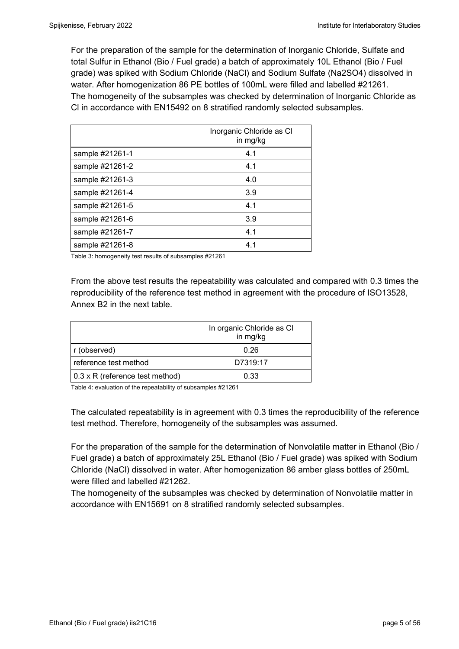For the preparation of the sample for the determination of Inorganic Chloride, Sulfate and total Sulfur in Ethanol (Bio / Fuel grade) a batch of approximately 10L Ethanol (Bio / Fuel grade) was spiked with Sodium Chloride (NaCl) and Sodium Sulfate (Na2SO4) dissolved in water. After homogenization 86 PE bottles of 100mL were filled and labelled #21261. The homogeneity of the subsamples was checked by determination of Inorganic Chloride as Cl in accordance with EN15492 on 8 stratified randomly selected subsamples.

|                 | Inorganic Chloride as CI<br>in mg/kg |
|-----------------|--------------------------------------|
| sample #21261-1 | 4.1                                  |
| sample #21261-2 | 4.1                                  |
| sample #21261-3 | 4.0                                  |
| sample #21261-4 | 3.9                                  |
| sample #21261-5 | 4.1                                  |
| sample #21261-6 | 3.9                                  |
| sample #21261-7 | 4.1                                  |
| sample #21261-8 | 4.1                                  |

Table 3: homogeneity test results of subsamples #21261

From the above test results the repeatability was calculated and compared with 0.3 times the reproducibility of the reference test method in agreement with the procedure of ISO13528, Annex B2 in the next table.

|                                 | In organic Chloride as CI<br>in mg/kg |
|---------------------------------|---------------------------------------|
| r (observed)                    | 0.26                                  |
| reference test method           | D7319:17                              |
| 0.3 x R (reference test method) | 0.33                                  |

Table 4: evaluation of the repeatability of subsamples #21261

The calculated repeatability is in agreement with 0.3 times the reproducibility of the reference test method. Therefore, homogeneity of the subsamples was assumed.

For the preparation of the sample for the determination of Nonvolatile matter in Ethanol (Bio / Fuel grade) a batch of approximately 25L Ethanol (Bio / Fuel grade) was spiked with Sodium Chloride (NaCl) dissolved in water. After homogenization 86 amber glass bottles of 250mL were filled and labelled #21262.

The homogeneity of the subsamples was checked by determination of Nonvolatile matter in accordance with EN15691 on 8 stratified randomly selected subsamples.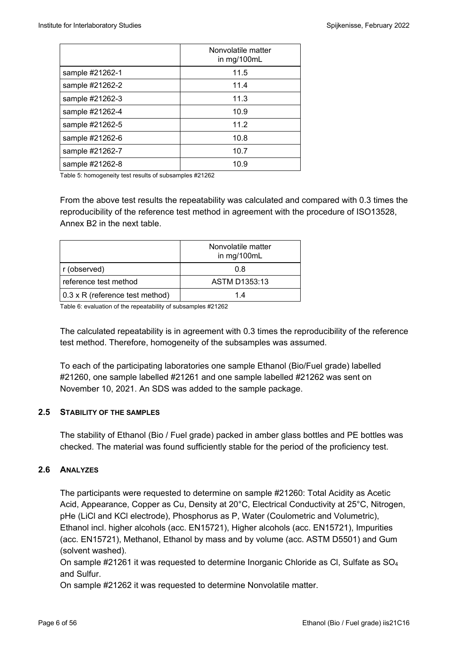|                 | Nonvolatile matter<br>in mg/100mL |
|-----------------|-----------------------------------|
| sample #21262-1 | 11.5                              |
| sample #21262-2 | 11.4                              |
| sample #21262-3 | 11.3                              |
| sample #21262-4 | 10.9                              |
| sample #21262-5 | 11.2                              |
| sample #21262-6 | 10.8                              |
| sample #21262-7 | 10.7                              |
| sample #21262-8 | 10.9                              |

Table 5: homogeneity test results of subsamples #21262

From the above test results the repeatability was calculated and compared with 0.3 times the reproducibility of the reference test method in agreement with the procedure of ISO13528, Annex B2 in the next table.

|                                 | Nonvolatile matter<br>in mg/100mL |
|---------------------------------|-----------------------------------|
| r (observed)                    | 0.8                               |
| reference test method           | ASTM D1353:13                     |
| 0.3 x R (reference test method) | 14                                |

Table 6: evaluation of the repeatability of subsamples #21262

The calculated repeatability is in agreement with 0.3 times the reproducibility of the reference test method. Therefore, homogeneity of the subsamples was assumed.

To each of the participating laboratories one sample Ethanol (Bio/Fuel grade) labelled #21260, one sample labelled #21261 and one sample labelled #21262 was sent on November 10, 2021. An SDS was added to the sample package.

### **2.5 STABILITY OF THE SAMPLES**

The stability of Ethanol (Bio / Fuel grade) packed in amber glass bottles and PE bottles was checked. The material was found sufficiently stable for the period of the proficiency test.

### **2.6 ANALYZES**

The participants were requested to determine on sample #21260: Total Acidity as Acetic Acid, Appearance, Copper as Cu, Density at 20°C, Electrical Conductivity at 25°C, Nitrogen, pHe (LiCl and KCl electrode), Phosphorus as P, Water (Coulometric and Volumetric), Ethanol incl. higher alcohols (acc. EN15721), Higher alcohols (acc. EN15721), Impurities (acc. EN15721), Methanol, Ethanol by mass and by volume (acc. ASTM D5501) and Gum (solvent washed).

On sample  $\#21261$  it was requested to determine Inorganic Chloride as Cl, Sulfate as  $SO_4$ and Sulfur.

On sample #21262 it was requested to determine Nonvolatile matter.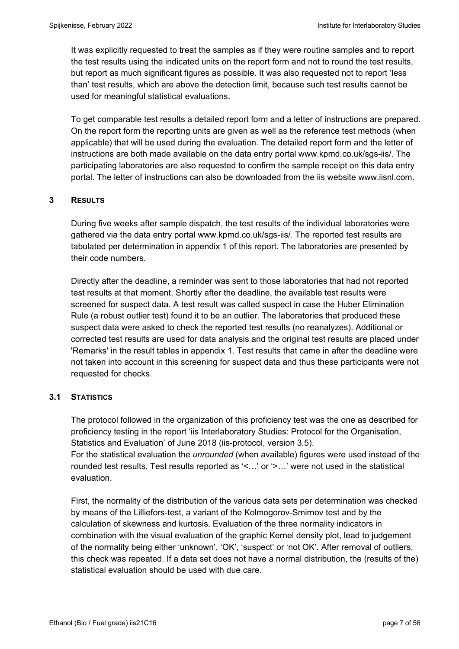It was explicitly requested to treat the samples as if they were routine samples and to report the test results using the indicated units on the report form and not to round the test results, but report as much significant figures as possible. It was also requested not to report 'less than' test results, which are above the detection limit, because such test results cannot be used for meaningful statistical evaluations.

To get comparable test results a detailed report form and a letter of instructions are prepared. On the report form the reporting units are given as well as the reference test methods (when applicable) that will be used during the evaluation. The detailed report form and the letter of instructions are both made available on the data entry portal www.kpmd.co.uk/sgs-iis/. The participating laboratories are also requested to confirm the sample receipt on this data entry portal. The letter of instructions can also be downloaded from the iis website www.iisnl.com.

## **3 RESULTS**

During five weeks after sample dispatch, the test results of the individual laboratories were gathered via the data entry portal www.kpmd.co.uk/sgs-iis/. The reported test results are tabulated per determination in appendix 1 of this report. The laboratories are presented by their code numbers.

Directly after the deadline, a reminder was sent to those laboratories that had not reported test results at that moment. Shortly after the deadline, the available test results were screened for suspect data. A test result was called suspect in case the Huber Elimination Rule (a robust outlier test) found it to be an outlier. The laboratories that produced these suspect data were asked to check the reported test results (no reanalyzes). Additional or corrected test results are used for data analysis and the original test results are placed under 'Remarks' in the result tables in appendix 1. Test results that came in after the deadline were not taken into account in this screening for suspect data and thus these participants were not requested for checks.

### **3.1 STATISTICS**

The protocol followed in the organization of this proficiency test was the one as described for proficiency testing in the report 'iis Interlaboratory Studies: Protocol for the Organisation, Statistics and Evaluation' of June 2018 (iis-protocol, version 3.5). For the statistical evaluation the *unrounded* (when available) figures were used instead of the rounded test results. Test results reported as '<…' or '>…' were not used in the statistical evaluation.

First, the normality of the distribution of the various data sets per determination was checked by means of the Lilliefors-test, a variant of the Kolmogorov-Smirnov test and by the calculation of skewness and kurtosis. Evaluation of the three normality indicators in combination with the visual evaluation of the graphic Kernel density plot, lead to judgement of the normality being either 'unknown', 'OK', 'suspect' or 'not OK'. After removal of outliers, this check was repeated. If a data set does not have a normal distribution, the (results of the) statistical evaluation should be used with due care.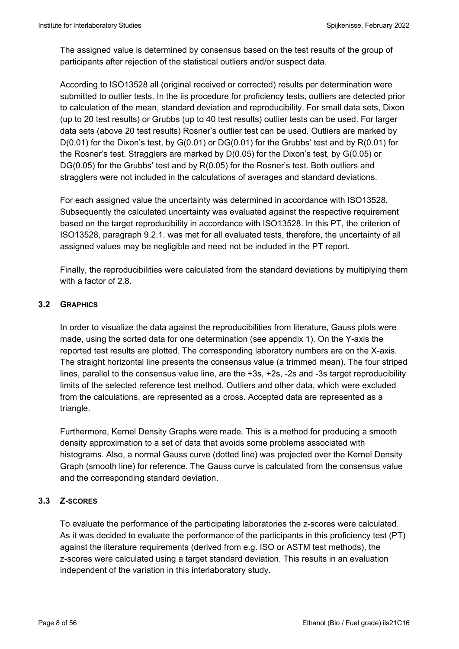The assigned value is determined by consensus based on the test results of the group of participants after rejection of the statistical outliers and/or suspect data.

According to ISO13528 all (original received or corrected) results per determination were submitted to outlier tests. In the iis procedure for proficiency tests, outliers are detected prior to calculation of the mean, standard deviation and reproducibility. For small data sets, Dixon (up to 20 test results) or Grubbs (up to 40 test results) outlier tests can be used. For larger data sets (above 20 test results) Rosner's outlier test can be used. Outliers are marked by  $D(0.01)$  for the Dixon's test, by  $G(0.01)$  or  $DG(0.01)$  for the Grubbs' test and by  $R(0.01)$  for the Rosner's test. Stragglers are marked by D(0.05) for the Dixon's test, by G(0.05) or DG(0.05) for the Grubbs' test and by R(0.05) for the Rosner's test. Both outliers and stragglers were not included in the calculations of averages and standard deviations.

For each assigned value the uncertainty was determined in accordance with ISO13528. Subsequently the calculated uncertainty was evaluated against the respective requirement based on the target reproducibility in accordance with ISO13528. In this PT, the criterion of ISO13528, paragraph 9.2.1. was met for all evaluated tests, therefore, the uncertainty of all assigned values may be negligible and need not be included in the PT report.

Finally, the reproducibilities were calculated from the standard deviations by multiplying them with a factor of 2.8.

## **3.2 GRAPHICS**

In order to visualize the data against the reproducibilities from literature, Gauss plots were made, using the sorted data for one determination (see appendix 1). On the Y-axis the reported test results are plotted. The corresponding laboratory numbers are on the X-axis. The straight horizontal line presents the consensus value (a trimmed mean). The four striped lines, parallel to the consensus value line, are the +3s, +2s, -2s and -3s target reproducibility limits of the selected reference test method. Outliers and other data, which were excluded from the calculations, are represented as a cross. Accepted data are represented as a triangle.

Furthermore, Kernel Density Graphs were made. This is a method for producing a smooth density approximation to a set of data that avoids some problems associated with histograms. Also, a normal Gauss curve (dotted line) was projected over the Kernel Density Graph (smooth line) for reference. The Gauss curve is calculated from the consensus value and the corresponding standard deviation.

## **3.3 Z-SCORES**

To evaluate the performance of the participating laboratories the z-scores were calculated. As it was decided to evaluate the performance of the participants in this proficiency test (PT) against the literature requirements (derived from e.g. ISO or ASTM test methods), the z-scores were calculated using a target standard deviation. This results in an evaluation independent of the variation in this interlaboratory study.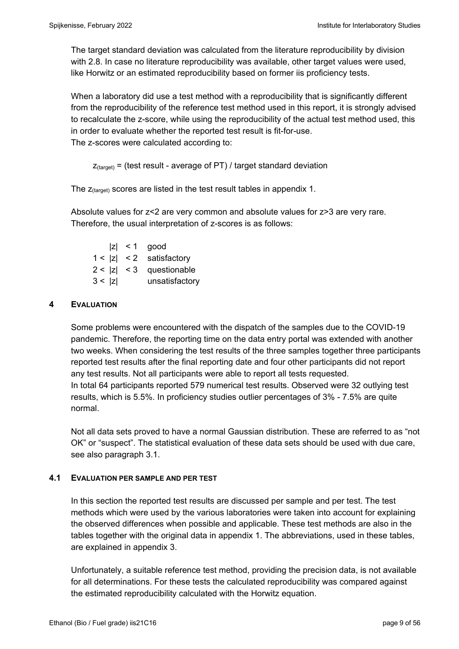The target standard deviation was calculated from the literature reproducibility by division with 2.8. In case no literature reproducibility was available, other target values were used, like Horwitz or an estimated reproducibility based on former iis proficiency tests.

When a laboratory did use a test method with a reproducibility that is significantly different from the reproducibility of the reference test method used in this report, it is strongly advised to recalculate the z-score, while using the reproducibility of the actual test method used, this in order to evaluate whether the reported test result is fit-for-use. The z-scores were calculated according to:

```
Z_{\text{target}} = (test result - average of PT) / target standard deviation
```
The  $z_{(target)}$  scores are listed in the test result tables in appendix 1.

Absolute values for z<2 are very common and absolute values for z>3 are very rare. Therefore, the usual interpretation of z-scores is as follows:

 $|z|$  < 1 good  $1 < |z| < 2$  satisfactory  $2 < |z| < 3$  questionable 3 < |z| unsatisfactory

## **4 EVALUATION**

Some problems were encountered with the dispatch of the samples due to the COVID-19 pandemic. Therefore, the reporting time on the data entry portal was extended with another two weeks. When considering the test results of the three samples together three participants reported test results after the final reporting date and four other participants did not report any test results. Not all participants were able to report all tests requested. In total 64 participants reported 579 numerical test results. Observed were 32 outlying test results, which is 5.5%. In proficiency studies outlier percentages of 3% - 7.5% are quite normal.

Not all data sets proved to have a normal Gaussian distribution. These are referred to as "not OK" or "suspect". The statistical evaluation of these data sets should be used with due care, see also paragraph 3.1.

### **4.1 EVALUATION PER SAMPLE AND PER TEST**

In this section the reported test results are discussed per sample and per test. The test methods which were used by the various laboratories were taken into account for explaining the observed differences when possible and applicable. These test methods are also in the tables together with the original data in appendix 1. The abbreviations, used in these tables, are explained in appendix 3.

Unfortunately, a suitable reference test method, providing the precision data, is not available for all determinations. For these tests the calculated reproducibility was compared against the estimated reproducibility calculated with the Horwitz equation.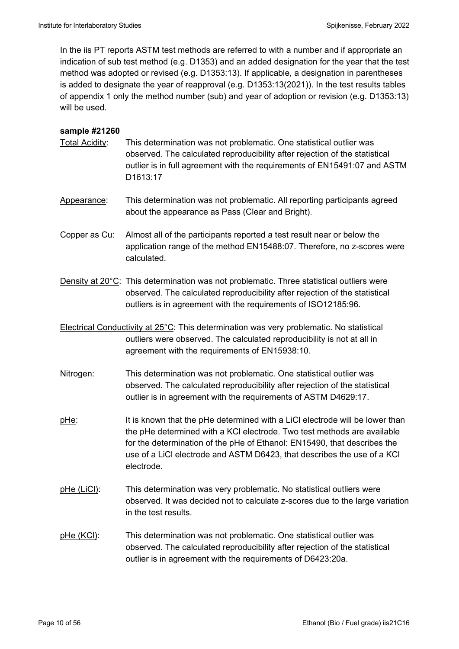In the iis PT reports ASTM test methods are referred to with a number and if appropriate an indication of sub test method (e.g. D1353) and an added designation for the year that the test method was adopted or revised (e.g. D1353:13). If applicable, a designation in parentheses is added to designate the year of reapproval (e.g. D1353:13(2021)). In the test results tables of appendix 1 only the method number (sub) and year of adoption or revision (e.g. D1353:13) will be used.

### **sample #21260**

- Total Acidity: This determination was not problematic. One statistical outlier was observed. The calculated reproducibility after rejection of the statistical outlier is in full agreement with the requirements of EN15491:07 and ASTM D1613:17
- Appearance: This determination was not problematic. All reporting participants agreed about the appearance as Pass (Clear and Bright).
- Copper as Cu: Almost all of the participants reported a test result near or below the application range of the method EN15488:07. Therefore, no z-scores were calculated.
- Density at 20°C: This determination was not problematic. Three statistical outliers were observed. The calculated reproducibility after rejection of the statistical outliers is in agreement with the requirements of ISO12185:96.
- Electrical Conductivity at 25°C: This determination was very problematic. No statistical outliers were observed. The calculated reproducibility is not at all in agreement with the requirements of EN15938:10.
- Nitrogen: This determination was not problematic. One statistical outlier was observed. The calculated reproducibility after rejection of the statistical outlier is in agreement with the requirements of ASTM D4629:17.
- pHe: It is known that the pHe determined with a LiCl electrode will be lower than the pHe determined with a KCl electrode. Two test methods are available for the determination of the pHe of Ethanol: EN15490, that describes the use of a LiCl electrode and ASTM D6423, that describes the use of a KCl electrode.
- pHe (LiCl): This determination was very problematic. No statistical outliers were observed. It was decided not to calculate z-scores due to the large variation in the test results.
- pHe (KCl): This determination was not problematic. One statistical outlier was observed. The calculated reproducibility after rejection of the statistical outlier is in agreement with the requirements of D6423:20a.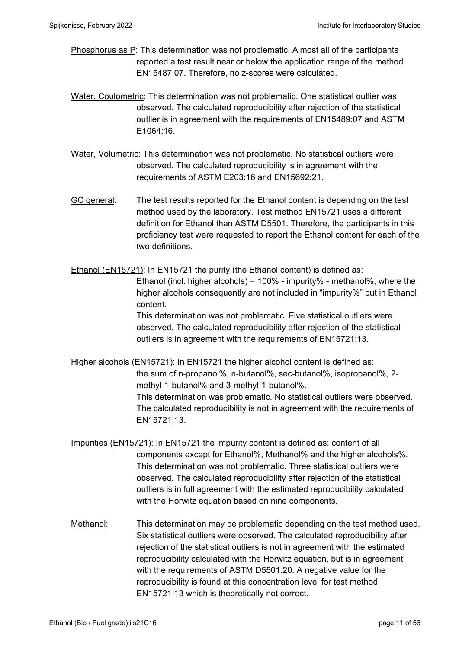- Phosphorus as P: This determination was not problematic. Almost all of the participants reported a test result near or below the application range of the method EN15487:07. Therefore, no z-scores were calculated.
- Water, Coulometric: This determination was not problematic. One statistical outlier was observed. The calculated reproducibility after rejection of the statistical outlier is in agreement with the requirements of EN15489:07 and ASTM E1064:16.
- Water, Volumetric: This determination was not problematic. No statistical outliers were observed. The calculated reproducibility is in agreement with the requirements of ASTM E203:16 and EN15692:21.
- GC general: The test results reported for the Ethanol content is depending on the test method used by the laboratory. Test method EN15721 uses a different definition for Ethanol than ASTM D5501. Therefore, the participants in this proficiency test were requested to report the Ethanol content for each of the two definitions.

Ethanol (EN15721): In EN15721 the purity (the Ethanol content) is defined as:

 Ethanol (incl. higher alcohols) = 100% - impurity% - methanol%, where the higher alcohols consequently are not included in "impurity%" but in Ethanol content.

 This determination was not problematic. Five statistical outliers were observed. The calculated reproducibility after rejection of the statistical outliers is in agreement with the requirements of EN15721:13.

Higher alcohols (EN15721): In EN15721 the higher alcohol content is defined as: the sum of n-propanol%, n-butanol%, sec-butanol%, isopropanol%, 2 methyl-1-butanol% and 3-methyl-1-butanol%. This determination was problematic. No statistical outliers were observed. The calculated reproducibility is not in agreement with the requirements of EN15721:13.

- Impurities (EN15721): In EN15721 the impurity content is defined as: content of all components except for Ethanol%, Methanol% and the higher alcohols%. This determination was not problematic. Three statistical outliers were observed. The calculated reproducibility after rejection of the statistical outliers is in full agreement with the estimated reproducibility calculated with the Horwitz equation based on nine components.
- Methanol: This determination may be problematic depending on the test method used. Six statistical outliers were observed. The calculated reproducibility after rejection of the statistical outliers is not in agreement with the estimated reproducibility calculated with the Horwitz equation, but is in agreement with the requirements of ASTM D5501:20. A negative value for the reproducibility is found at this concentration level for test method EN15721:13 which is theoretically not correct.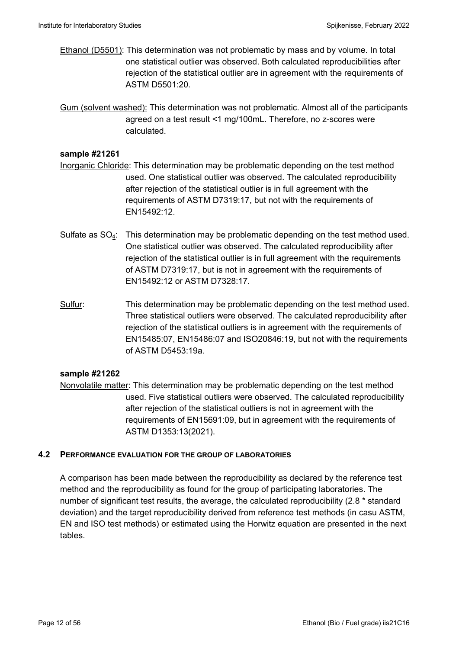Ethanol (D5501): This determination was not problematic by mass and by volume. In total one statistical outlier was observed. Both calculated reproducibilities after rejection of the statistical outlier are in agreement with the requirements of ASTM D5501:20.

Gum (solvent washed): This determination was not problematic. Almost all of the participants agreed on a test result <1 mg/100mL. Therefore, no z-scores were calculated.

### **sample #21261**

- Inorganic Chloride: This determination may be problematic depending on the test method used. One statistical outlier was observed. The calculated reproducibility after rejection of the statistical outlier is in full agreement with the requirements of ASTM D7319:17, but not with the requirements of EN15492:12.
- Sulfate as  $SO_4$ : This determination may be problematic depending on the test method used. One statistical outlier was observed. The calculated reproducibility after rejection of the statistical outlier is in full agreement with the requirements of ASTM D7319:17, but is not in agreement with the requirements of EN15492:12 or ASTM D7328:17.
- Sulfur: This determination may be problematic depending on the test method used. Three statistical outliers were observed. The calculated reproducibility after rejection of the statistical outliers is in agreement with the requirements of EN15485:07, EN15486:07 and ISO20846:19, but not with the requirements of ASTM D5453:19a.

### **sample #21262**

Nonvolatile matter: This determination may be problematic depending on the test method used. Five statistical outliers were observed. The calculated reproducibility after rejection of the statistical outliers is not in agreement with the requirements of EN15691:09, but in agreement with the requirements of ASTM D1353:13(2021).

### **4.2 PERFORMANCE EVALUATION FOR THE GROUP OF LABORATORIES**

A comparison has been made between the reproducibility as declared by the reference test method and the reproducibility as found for the group of participating laboratories. The number of significant test results, the average, the calculated reproducibility (2.8 \* standard deviation) and the target reproducibility derived from reference test methods (in casu ASTM, EN and ISO test methods) or estimated using the Horwitz equation are presented in the next tables.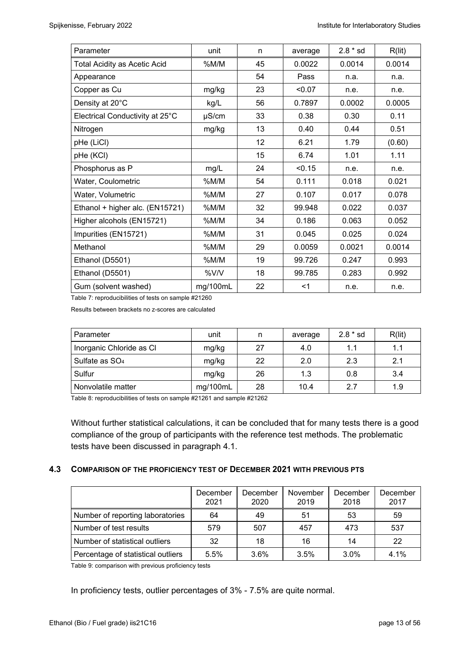| Parameter                           | unit     | n  | average | $2.8 * sd$ | R(lit) |
|-------------------------------------|----------|----|---------|------------|--------|
| <b>Total Acidity as Acetic Acid</b> | %M/M     | 45 | 0.0022  | 0.0014     | 0.0014 |
| Appearance                          |          | 54 | Pass    | n.a.       | n.a.   |
| Copper as Cu                        | mg/kg    | 23 | < 0.07  | n.e.       | n.e.   |
| Density at 20°C                     | kg/L     | 56 | 0.7897  | 0.0002     | 0.0005 |
| Electrical Conductivity at 25°C     | µS/cm    | 33 | 0.38    | 0.30       | 0.11   |
| Nitrogen                            | mg/kg    | 13 | 0.40    | 0.44       | 0.51   |
| pHe (LiCl)                          |          | 12 | 6.21    | 1.79       | (0.60) |
| pHe (KCI)                           |          | 15 | 6.74    | 1.01       | 1.11   |
| Phosphorus as P                     | mg/L     | 24 | < 0.15  | n.e.       | n.e.   |
| Water, Coulometric                  | %M/M     | 54 | 0.111   | 0.018      | 0.021  |
| Water, Volumetric                   | %M/M     | 27 | 0.107   | 0.017      | 0.078  |
| Ethanol + higher alc. (EN15721)     | %M/M     | 32 | 99.948  | 0.022      | 0.037  |
| Higher alcohols (EN15721)           | %M/M     | 34 | 0.186   | 0.063      | 0.052  |
| Impurities (EN15721)                | %M/M     | 31 | 0.045   | 0.025      | 0.024  |
| Methanol                            | %M/M     | 29 | 0.0059  | 0.0021     | 0.0014 |
| Ethanol (D5501)                     | %M/M     | 19 | 99.726  | 0.247      | 0.993  |
| Ethanol (D5501)                     | %V/V     | 18 | 99.785  | 0.283      | 0.992  |
| Gum (solvent washed)                | mg/100mL | 22 | $<$ 1   | n.e.       | n.e.   |

Table 7: reproducibilities of tests on sample #21260

Results between brackets no z-scores are calculated

| Parameter                  | unit     | n  | average | $2.8 * sd$ | R(lit) |
|----------------------------|----------|----|---------|------------|--------|
| Inorganic Chloride as CI   | mg/kg    | 27 | 4.0     | 1.1        | 1.1    |
| Sulfate as SO <sub>4</sub> | mg/kg    | 22 | 2.0     | 2.3        | 2.1    |
| Sulfur                     | mg/kg    | 26 | 1.3     | 0.8        | 3.4    |
| Nonvolatile matter         | mg/100mL | 28 | 10.4    | 2.7        | 1.9    |

Table 8: reproducibilities of tests on sample #21261 and sample #21262

Without further statistical calculations, it can be concluded that for many tests there is a good compliance of the group of participants with the reference test methods. The problematic tests have been discussed in paragraph 4.1.

### **4.3 COMPARISON OF THE PROFICIENCY TEST OF DECEMBER 2021 WITH PREVIOUS PTS**

|                                    | December<br>2021 | December<br>2020 | November<br>2019 | December<br>2018 | December<br>2017 |
|------------------------------------|------------------|------------------|------------------|------------------|------------------|
| Number of reporting laboratories   | 64               | 49               | 51               | 53               | 59               |
| Number of test results             | 579              | 507              | 457              | 473              | 537              |
| Number of statistical outliers     | 32               | 18               | 16               | 14               | 22               |
| Percentage of statistical outliers | 5.5%             | 3.6%             | 3.5%             | 3.0%             | 4.1%             |

Table 9: comparison with previous proficiency tests

In proficiency tests, outlier percentages of 3% - 7.5% are quite normal.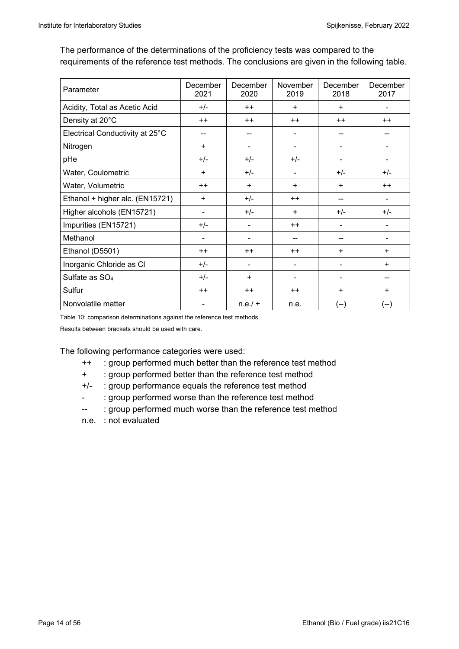The performance of the determinations of the proficiency tests was compared to the requirements of the reference test methods. The conclusions are given in the following table.

| Parameter                       | December<br>2021 | December<br>2020 | November<br>2019         | December<br>2018 | December<br>2017 |
|---------------------------------|------------------|------------------|--------------------------|------------------|------------------|
| Acidity, Total as Acetic Acid   | $+/-$            | $++$             | $\ddot{}$                | $\ddot{}$        |                  |
| Density at 20°C                 | $++$             | $++$             | $++$                     | $++$             | $++$             |
| Electrical Conductivity at 25°C | --               | --               | $\blacksquare$           |                  |                  |
| Nitrogen                        | $\ddot{}$        | -                | $\blacksquare$           |                  |                  |
| pHe                             | $+/-$            | $+/-$            | $+/-$                    |                  |                  |
| Water, Coulometric              | $\ddot{}$        | $+/-$            | $\blacksquare$           | $+/-$            | $+/-$            |
| Water, Volumetric               | $++$             | $\ddot{}$        | +                        | $\ddot{}$        | $++$             |
| Ethanol + higher alc. (EN15721) | $\ddot{}$        | $+/-$            | $++$                     |                  |                  |
| Higher alcohols (EN15721)       |                  | $+/-$            | ÷                        | $+/-$            | $+/-$            |
| Impurities (EN15721)            | $+/-$            |                  | $++$                     |                  |                  |
| Methanol                        |                  | -                | --                       |                  |                  |
| Ethanol (D5501)                 | $++$             | $++$             | $++$                     | +                | $\ddot{}$        |
| Inorganic Chloride as Cl        | $+/-$            | ۰                | $\blacksquare$           |                  | $+$              |
| Sulfate as SO <sub>4</sub>      | $+/-$            | $\ddot{}$        | $\overline{\phantom{a}}$ |                  |                  |
| Sulfur                          | $++$             | $++$             | $++$                     | $\ddot{}$        | $\ddot{}$        |
| Nonvolatile matter              |                  | $n.e./ +$        | n.e.                     | (--)             | (--)             |

Table 10: comparison determinations against the reference test methods

Results between brackets should be used with care.

The following performance categories were used:

- ++ : group performed much better than the reference test method
- + : group performed better than the reference test method
- +/- : group performance equals the reference test method
- : group performed worse than the reference test method
- -- : group performed much worse than the reference test method
- n.e. : not evaluated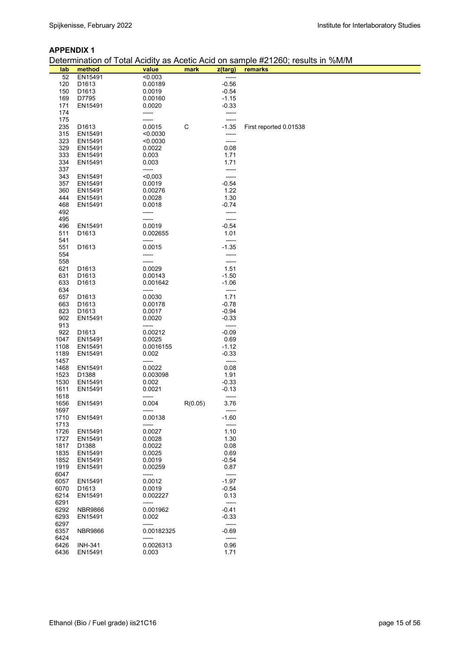### **APPENDIX 1**

Determination of Total Acidity as Acetic Acid on sample #21260; results in %M/M

| lab  | method            | value      | mark    | z(targ) | remarks                |
|------|-------------------|------------|---------|---------|------------------------|
| 52   | EN15491           | < 0.003    |         | -----   |                        |
| 120  | D1613             | 0.00189    |         | $-0.56$ |                        |
| 150  | D1613             | 0.0019     |         | $-0.54$ |                        |
| 169  | D7795             | 0.00160    |         | $-1.15$ |                        |
| 171  | EN15491           | 0.0020     |         | $-0.33$ |                        |
| 174  |                   | -----      |         |         |                        |
| 175  |                   |            |         |         |                        |
| 235  | D <sub>1613</sub> | 0.0015     | C       | $-1.35$ | First reported 0.01538 |
| 315  | EN15491           | < 0.0030   |         | -----   |                        |
| 323  | EN15491           | < 0.0030   |         | -----   |                        |
| 329  | EN15491           | 0.0022     |         | 0.08    |                        |
|      |                   |            |         |         |                        |
| 333  | EN15491           | 0.003      |         | 1.71    |                        |
| 334  | EN15491           | 0.003      |         | 1.71    |                        |
| 337  |                   | -----      |         | -----   |                        |
| 343  | EN15491           | < 0,003    |         |         |                        |
| 357  | EN15491           | 0.0019     |         | $-0.54$ |                        |
| 360  | EN15491           | 0.00276    |         | 1.22    |                        |
| 444  | EN15491           | 0.0028     |         | 1.30    |                        |
| 468  | EN15491           | 0.0018     |         | $-0.74$ |                        |
| 492  |                   | -----      |         | -----   |                        |
| 495  |                   | -----      |         | -----   |                        |
| 496  | EN15491           | 0.0019     |         | $-0.54$ |                        |
| 511  | D1613             | 0.002655   |         | 1.01    |                        |
| 541  |                   | -----      |         | -----   |                        |
| 551  | D1613             | 0.0015     |         | $-1.35$ |                        |
| 554  |                   | -----      |         |         |                        |
| 558  |                   | -----      |         | -----   |                        |
| 621  | D1613             | 0.0029     |         | 1.51    |                        |
|      | D1613             | 0.00143    |         | $-1.50$ |                        |
| 631  |                   |            |         |         |                        |
| 633  | D1613             | 0.001642   |         | $-1.06$ |                        |
| 634  |                   | -----      |         | -----   |                        |
| 657  | D <sub>1613</sub> | 0.0030     |         | 1.71    |                        |
| 663  | D <sub>1613</sub> | 0.00178    |         | $-0.78$ |                        |
| 823  | D1613             | 0.0017     |         | $-0.94$ |                        |
| 902  | EN15491           | 0.0020     |         | $-0.33$ |                        |
| 913  |                   | -----      |         | -----   |                        |
| 922  | D1613             | 0.00212    |         | $-0.09$ |                        |
| 1047 | EN15491           | 0.0025     |         | 0.69    |                        |
| 1108 | EN15491           | 0.0016155  |         | $-1.12$ |                        |
| 1189 | EN15491           | 0.002      |         | $-0.33$ |                        |
| 1457 |                   | -----      |         | -----   |                        |
| 1468 | EN15491           | 0.0022     |         | 0.08    |                        |
| 1523 | D1388             | 0.003098   |         | 1.91    |                        |
| 1530 | EN15491           | 0.002      |         | $-0.33$ |                        |
| 1611 | EN15491           | 0.0021     |         | $-0.13$ |                        |
| 1618 |                   | -----      |         | -----   |                        |
| 1656 | EN15491           | 0.004      | R(0.05) | 3.76    |                        |
| 1697 |                   | -----      |         | -----   |                        |
| 1710 | EN15491           | 0.00138    |         | $-1.60$ |                        |
| 1713 |                   | -----      |         | -----   |                        |
| 1726 | EN15491           | 0.0027     |         | 1.10    |                        |
| 1727 |                   | 0.0028     |         | 1.30    |                        |
|      | EN15491           |            |         |         |                        |
| 1817 | D1388             | 0.0022     |         | 0.08    |                        |
| 1835 | EN15491           | 0.0025     |         | 0.69    |                        |
| 1852 | EN15491           | 0.0019     |         | -0.54   |                        |
| 1919 | EN15491           | 0.00259    |         | 0.87    |                        |
| 6047 |                   | -----      |         | $-----$ |                        |
| 6057 | EN15491           | 0.0012     |         | $-1.97$ |                        |
| 6070 | D <sub>1613</sub> | 0.0019     |         | $-0.54$ |                        |
| 6214 | EN15491           | 0.002227   |         | 0.13    |                        |
| 6291 |                   | -----      |         | $-----$ |                        |
| 6292 | <b>NBR9866</b>    | 0.001962   |         | $-0.41$ |                        |
| 6293 | EN15491           | 0.002      |         | $-0.33$ |                        |
| 6297 |                   | -----      |         | -----   |                        |
| 6357 | <b>NBR9866</b>    | 0.00182325 |         | $-0.69$ |                        |
| 6424 |                   | -----      |         | -----   |                        |
| 6426 | <b>INH-341</b>    | 0.0026313  |         | 0.96    |                        |
| 6436 | EN15491           | 0.003      |         | 1.71    |                        |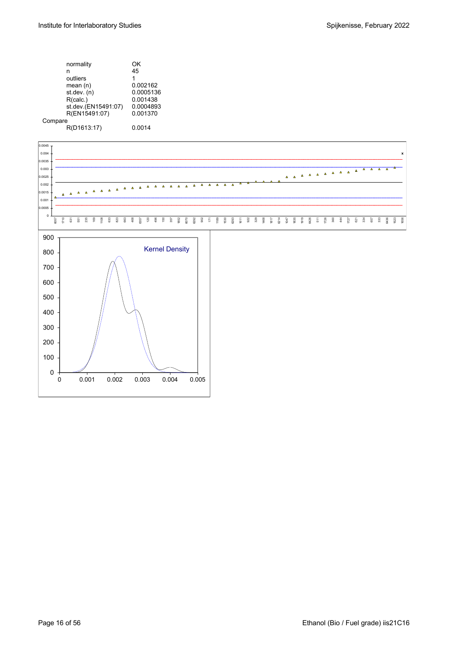| ΟK        |
|-----------|
| 45        |
| 1         |
| 0.002162  |
| 0.0005136 |
| 0.001438  |
| 0.0004893 |
| 0.001370  |
|           |
| 0.0014    |
|           |

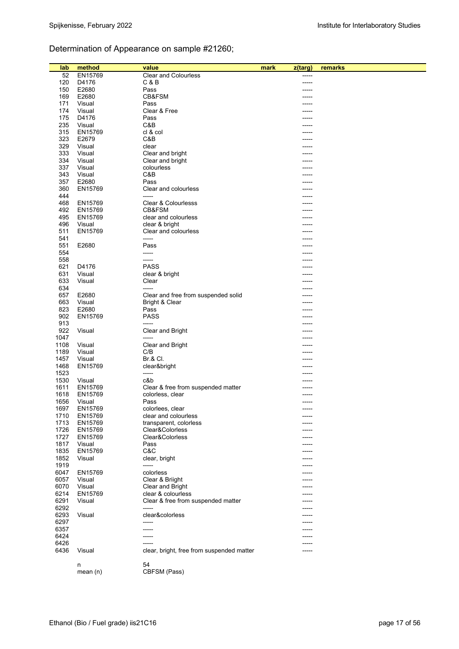# Determination of Appearance on sample #21260;

|      |            |                                           |      |         | remarks |
|------|------------|-------------------------------------------|------|---------|---------|
| lab  | method     | value                                     | mark | z(targ) |         |
| 52   | EN15769    | <b>Clear and Colourless</b>               |      |         |         |
| 120  | D4176      | C & B                                     |      |         |         |
| 150  | E2680      | Pass                                      |      |         |         |
| 169  | E2680      | CB&FSM                                    |      |         |         |
| 171  | Visual     | Pass                                      |      |         |         |
| 174  | Visual     | Clear & Free                              |      |         |         |
| 175  | D4176      | Pass                                      |      |         |         |
| 235  | Visual     | C&B                                       |      |         |         |
| 315  | EN15769    | cl & col                                  |      |         |         |
| 323  | E2679      | C&B                                       |      |         |         |
| 329  | Visual     | clear                                     |      |         |         |
| 333  | Visual     | Clear and bright                          |      |         |         |
| 334  | Visual     | Clear and bright                          |      |         |         |
| 337  | Visual     | colourless                                |      |         |         |
| 343  | Visual     | C&B                                       |      |         |         |
|      |            |                                           |      |         |         |
| 357  | E2680      | Pass                                      |      |         |         |
| 360  | EN15769    | Clear and colourless                      |      |         |         |
| 444  |            | -----                                     |      |         |         |
| 468  | EN15769    | Clear & Colourlesss                       |      |         |         |
| 492  | EN15769    | CB&FSM                                    |      |         |         |
| 495  | EN15769    | clear and colourless                      |      |         |         |
| 496  | Visual     | clear & bright                            |      |         |         |
| 511  | EN15769    | Clear and colourless                      |      |         |         |
| 541  |            | -----                                     |      |         |         |
| 551  | E2680      | Pass                                      |      |         |         |
| 554  |            | -----                                     |      |         |         |
| 558  |            | -----                                     |      |         |         |
| 621  | D4176      | <b>PASS</b>                               |      |         |         |
| 631  | Visual     |                                           |      |         |         |
|      |            | clear & bright                            |      |         |         |
| 633  | Visual     | Clear                                     |      |         |         |
| 634  |            | -----                                     |      |         |         |
| 657  | E2680      | Clear and free from suspended solid       |      |         |         |
| 663  | Visual     | Bright & Clear                            |      |         |         |
| 823  | E2680      | Pass                                      |      |         |         |
| 902  | EN15769    | <b>PASS</b>                               |      |         |         |
| 913  |            | -----                                     |      |         |         |
| 922  | Visual     | Clear and Bright                          |      |         |         |
| 1047 |            |                                           |      |         |         |
| 1108 | Visual     | Clear and Bright                          |      |         |         |
| 1189 | Visual     | C/B                                       |      |         |         |
| 1457 | Visual     | Br.& Cl.                                  |      |         |         |
| 1468 |            |                                           |      |         |         |
|      | EN15769    | clear&bright                              |      |         |         |
| 1523 |            | -----                                     |      |         |         |
| 1530 | Visual     | c&b                                       |      |         |         |
| 1611 | EN15769    | Clear & free from suspended matter        |      |         |         |
| 1618 | EN15769    | colorless, clear                          |      |         |         |
| 1656 | Visual     | Pass                                      |      |         |         |
| 1697 | EN15769    | colorlees, clear                          |      | -----   |         |
| 1710 | EN15769    | clear and colourless                      |      |         |         |
| 1713 | EN15769    | transparent, colorless                    |      |         |         |
| 1726 | EN15769    | Clear&Colorless                           |      |         |         |
| 1727 | EN15769    | Clear&Colorless                           |      |         |         |
| 1817 | Visual     | Pass                                      |      |         |         |
| 1835 | EN15769    | C&C                                       |      |         |         |
| 1852 |            |                                           |      |         |         |
| 1919 | Visual     | clear, bright                             |      |         |         |
|      |            | -----                                     |      |         |         |
| 6047 | EN15769    | colorless                                 |      |         |         |
| 6057 | Visual     | Clear & Briight                           |      |         |         |
| 6070 | Visual     | Clear and Bright                          |      |         |         |
| 6214 | EN15769    | clear & colourless                        |      |         |         |
| 6291 | Visual     | Clear & free from suspended matter        |      |         |         |
| 6292 |            | -----                                     |      |         |         |
| 6293 | Visual     | clear&colorless                           |      |         |         |
| 6297 |            | -----                                     |      |         |         |
| 6357 |            |                                           |      |         |         |
| 6424 |            |                                           |      |         |         |
| 6426 |            |                                           |      |         |         |
|      |            |                                           |      |         |         |
| 6436 | Visual     | clear, bright, free from suspended matter |      |         |         |
|      |            |                                           |      |         |         |
|      | n          | 54                                        |      |         |         |
|      | mean $(n)$ | CBFSM (Pass)                              |      |         |         |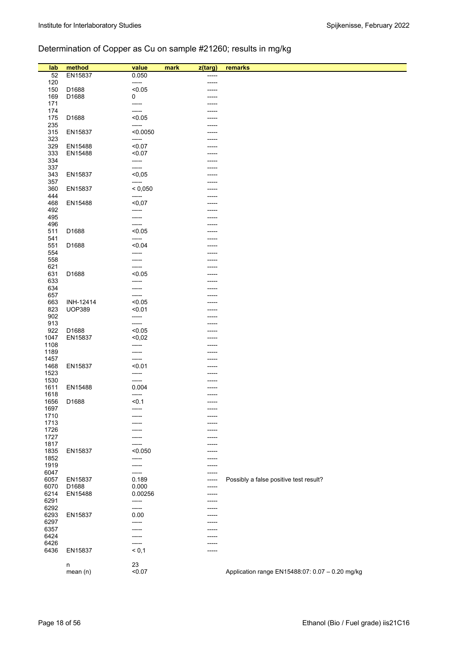# Determination of Copper as Cu on sample #21260; results in mg/kg

| lab          | method        | value           | mark | z(targ) | remarks                                         |
|--------------|---------------|-----------------|------|---------|-------------------------------------------------|
| 52           | EN15837       | 0.050           |      |         |                                                 |
| 120          |               | -----           |      |         |                                                 |
| 150          | D1688         | < 0.05          |      |         |                                                 |
| 169          | D1688         | 0               |      |         |                                                 |
| 171          |               | -----           |      |         |                                                 |
| 174          |               | -----           |      |         |                                                 |
| 175          | D1688         | < 0.05          |      |         |                                                 |
| 235          |               | -----           |      |         |                                                 |
| 315          | EN15837       | < 0.0050        |      |         |                                                 |
| 323          |               | -----           |      |         |                                                 |
| 329          | EN15488       | < 0.07          |      |         |                                                 |
| 333<br>334   | EN15488       | < 0.07<br>----- |      |         |                                                 |
| 337          |               | -----           |      |         |                                                 |
| 343          | EN15837       | < 0,05          |      |         |                                                 |
| 357          |               | -----           |      |         |                                                 |
| 360          | EN15837       | < 0,050         |      |         |                                                 |
| 444          |               | -----           |      |         |                                                 |
| 468          | EN15488       | $0,07$          |      |         |                                                 |
| 492          |               | -----           |      |         |                                                 |
| 495          |               | -----           |      |         |                                                 |
| 496          |               | -----           |      | -----   |                                                 |
| 511          | D1688         | < 0.05          |      |         |                                                 |
| 541          |               | -----           |      |         |                                                 |
| 551          | D1688         | < 0.04          |      |         |                                                 |
| 554<br>558   |               | -----<br>-----  |      |         |                                                 |
| 621          |               | -----           |      |         |                                                 |
| 631          | D1688         | < 0.05          |      |         |                                                 |
| 633          |               | -----           |      |         |                                                 |
| 634          |               | -----           |      |         |                                                 |
| 657          |               | -----           |      |         |                                                 |
| 663          | INH-12414     | < 0.05          |      |         |                                                 |
| 823          | <b>UOP389</b> | < 0.01          |      |         |                                                 |
| 902          |               | -----           |      |         |                                                 |
| 913          |               | -----           |      |         |                                                 |
| 922          | D1688         | < 0.05          |      |         |                                                 |
| 1047         | EN15837       | $0,02$          |      |         |                                                 |
| 1108<br>1189 |               | -----<br>-----  |      |         |                                                 |
| 1457         |               | -----           |      |         |                                                 |
| 1468         | EN15837       | < 0.01          |      |         |                                                 |
| 1523         |               | -----           |      |         |                                                 |
| 1530         |               | -----           |      |         |                                                 |
| 1611         | EN15488       | 0.004           |      |         |                                                 |
| 1618         |               | -----           |      |         |                                                 |
| 1656         | D1688         | < 0.1           |      | -----   |                                                 |
| 1697         |               | -----           |      | -----   |                                                 |
| 1710         |               |                 |      | -----   |                                                 |
| 1713<br>1726 |               |                 |      |         |                                                 |
| 1727         |               |                 |      |         |                                                 |
| 1817         |               |                 |      |         |                                                 |
| 1835         | EN15837       | < 0.050         |      |         |                                                 |
| 1852         |               | -----           |      |         |                                                 |
| 1919         |               | -----           |      |         |                                                 |
| 6047         |               | ------          |      |         |                                                 |
| 6057         | EN15837       | 0.189           |      | -----   | Possibly a false positive test result?          |
| 6070         | D1688         | 0.000           |      | -----   |                                                 |
| 6214         | EN15488       | 0.00256         |      |         |                                                 |
| 6291         |               | -----           |      |         |                                                 |
| 6292         |               | -----           |      |         |                                                 |
| 6293<br>6297 | EN15837       | 0.00            |      | -----   |                                                 |
| 6357         |               | -----<br>-----  |      |         |                                                 |
| 6424         |               | -----           |      |         |                                                 |
| 6426         |               | $- - - - -$     |      | -----   |                                                 |
| 6436         | EN15837       | < 0,1           |      |         |                                                 |
|              |               |                 |      |         |                                                 |
|              | n             | 23              |      |         |                                                 |
|              | mean(n)       | < 0.07          |      |         | Application range EN15488:07: 0.07 - 0.20 mg/kg |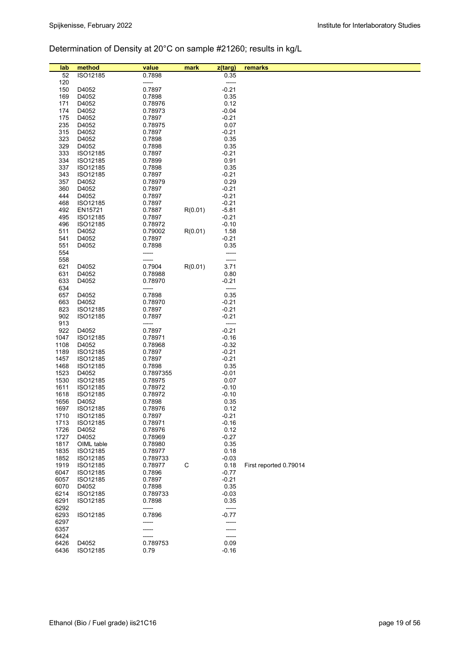# Determination of Density at 20°C on sample #21260; results in kg/L

| lab          | method               | value             | mark        | z(targ)            | remarks                |
|--------------|----------------------|-------------------|-------------|--------------------|------------------------|
| 52           | ISO12185             | 0.7898            |             | 0.35               |                        |
| 120          |                      | -----             |             | -----              |                        |
| 150          | D4052                | 0.7897            |             | $-0.21$            |                        |
| 169          | D4052                | 0.7898            |             | 0.35               |                        |
| 171          | D4052                | 0.78976           |             | 0.12               |                        |
| 174          | D4052                | 0.78973           |             | $-0.04$            |                        |
| 175          | D4052                | 0.7897            |             | $-0.21$            |                        |
| 235          | D4052                | 0.78975           |             | 0.07               |                        |
| 315          | D4052                | 0.7897            |             | $-0.21$            |                        |
| 323          | D4052                | 0.7898            |             | 0.35               |                        |
| 329          | D4052                | 0.7898            |             | 0.35               |                        |
| 333          | ISO12185             | 0.7897            |             | $-0.21$            |                        |
| 334          | ISO12185             | 0.7899            |             | 0.91               |                        |
| 337          | ISO12185             | 0.7898            |             | 0.35               |                        |
| 343          | ISO12185             | 0.7897            |             | $-0.21$            |                        |
| 357          | D4052                | 0.78979           |             | 0.29               |                        |
| 360          | D4052                | 0.7897            |             | $-0.21$            |                        |
| 444<br>468   | D4052<br>ISO12185    | 0.7897<br>0.7897  |             | $-0.21$<br>$-0.21$ |                        |
| 492          | EN15721              | 0.7887            | R(0.01)     | $-5.81$            |                        |
| 495          | ISO12185             | 0.7897            |             | $-0.21$            |                        |
| 496          | ISO12185             | 0.78972           |             | $-0.10$            |                        |
| 511          | D4052                | 0.79002           | R(0.01)     | 1.58               |                        |
| 541          | D4052                | 0.7897            |             | $-0.21$            |                        |
| 551          | D4052                | 0.7898            |             | 0.35               |                        |
| 554          |                      | -----             |             | -----              |                        |
| 558          |                      | -----             |             |                    |                        |
| 621          | D4052                | 0.7904            | R(0.01)     | 3.71               |                        |
| 631          | D4052                | 0.78988           |             | 0.80               |                        |
| 633          | D4052                | 0.78970           |             | $-0.21$            |                        |
| 634          |                      | -----             |             | -----              |                        |
| 657          | D4052                | 0.7898            |             | 0.35               |                        |
| 663          | D4052                | 0.78970           |             | $-0.21$            |                        |
| 823          | ISO12185             | 0.7897            |             | $-0.21$            |                        |
| 902          | ISO12185             | 0.7897            |             | $-0.21$            |                        |
| 913          |                      | -----             |             | -----              |                        |
| 922          | D4052                | 0.7897            |             | $-0.21$            |                        |
| 1047<br>1108 | ISO12185             | 0.78971           |             | $-0.16$<br>$-0.32$ |                        |
| 1189         | D4052<br>ISO12185    | 0.78968<br>0.7897 |             | $-0.21$            |                        |
| 1457         | ISO12185             | 0.7897            |             | $-0.21$            |                        |
| 1468         | ISO12185             | 0.7898            |             | 0.35               |                        |
| 1523         | D4052                | 0.7897355         |             | $-0.01$            |                        |
| 1530         | ISO12185             | 0.78975           |             | 0.07               |                        |
| 1611         | ISO12185             | 0.78972           |             | $-0.10$            |                        |
| 1618         | ISO12185             | 0.78972           |             | $-0.10$            |                        |
| 1656         | D4052                | 0.7898            |             | 0.35               |                        |
| 1697         | ISO12185             | 0.78976           |             | 0.12               |                        |
| 1710         | ISO12185             | 0.7897            |             | $-0.21$            |                        |
| 1713         | ISO12185             | 0.78971           |             | $-0.16$            |                        |
| 1726         | D4052                | 0.78976           |             | 0.12               |                        |
| 1727         | D4052                | 0.78969           |             | $-0.27$            |                        |
| 1817         | OIML table           | 0.78980           |             | 0.35               |                        |
| 1835         | ISO12185             | 0.78977           |             | 0.18               |                        |
| 1852         | ISO12185             | 0.789733          |             | $-0.03$            |                        |
| 1919         | ISO12185             | 0.78977           | $\mathsf C$ | 0.18               | First reported 0.79014 |
| 6047<br>6057 | ISO12185<br>ISO12185 | 0.7896<br>0.7897  |             | $-0.77$<br>$-0.21$ |                        |
| 6070         | D4052                | 0.7898            |             | 0.35               |                        |
| 6214         | ISO12185             | 0.789733          |             | $-0.03$            |                        |
| 6291         | ISO12185             | 0.7898            |             | 0.35               |                        |
| 6292         |                      | -----             |             | -----              |                        |
| 6293         | ISO12185             | 0.7896            |             | $-0.77$            |                        |
| 6297         |                      | -----             |             |                    |                        |
| 6357         |                      |                   |             |                    |                        |
| 6424         |                      |                   |             | -----              |                        |
| 6426         | D4052                | 0.789753          |             | 0.09               |                        |
| 6436         | ISO12185             | 0.79              |             | $-0.16$            |                        |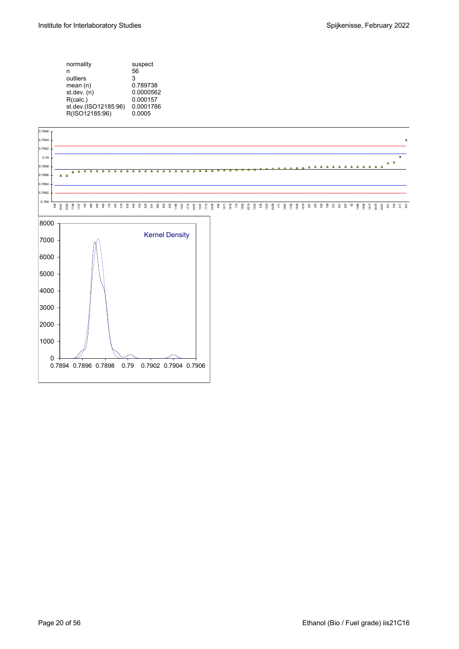

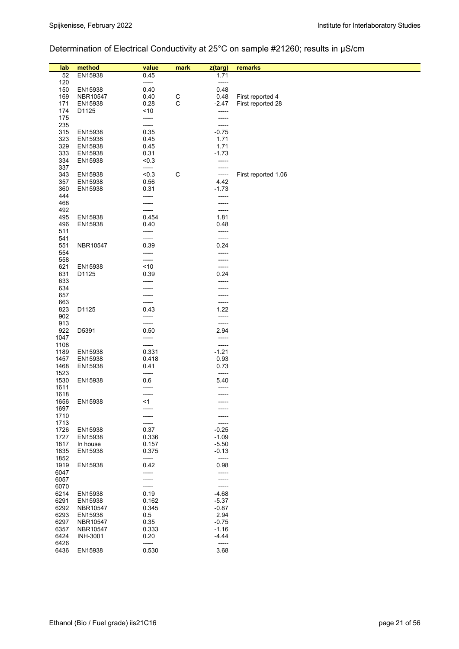# Determination of Electrical Conductivity at 25°C on sample #21260; results in µS/cm

| lab<br>52    | method<br>EN15938 | value<br>0.45  | mark         | z(targ)<br>1.71  | remarks             |
|--------------|-------------------|----------------|--------------|------------------|---------------------|
| 120          |                   | -----          |              | -----            |                     |
| 150          | EN15938           | 0.40           |              | 0.48             |                     |
| 169          | NBR10547          | 0.40           | $\mathsf{C}$ | 0.48             | First reported 4    |
| 171          | EN15938           | 0.28           | С            | $-2.47$          | First reported 28   |
| 174          | D1125             | ~10            |              | -----            |                     |
| 175          |                   | -----          |              | -----            |                     |
| 235          |                   | -----          |              | -----            |                     |
| 315          | EN15938           | 0.35           |              | $-0.75$          |                     |
| 323          | EN15938           | 0.45           |              | 1.71             |                     |
| 329          | EN15938           | 0.45           |              | 1.71             |                     |
| 333          | EN15938           | 0.31           |              | $-1.73$          |                     |
| 334          | EN15938           | < 0.3          |              | -----            |                     |
| 337          |                   | -----          |              |                  |                     |
| 343          | EN15938           | < 0.3          | C            | -----            | First reported 1.06 |
| 357          | EN15938           | 0.56           |              | 4.42             |                     |
| 360<br>444   | EN15938           | 0.31           |              | $-1.73$          |                     |
| 468          |                   | -----<br>----- |              | -----<br>-----   |                     |
| 492          |                   | -----          |              | -----            |                     |
| 495          | EN15938           | 0.454          |              | 1.81             |                     |
| 496          | EN15938           | 0.40           |              | 0.48             |                     |
| 511          |                   | -----          |              | -----            |                     |
| 541          |                   | -----          |              | -----            |                     |
| 551          | NBR10547          | 0.39           |              | 0.24             |                     |
| 554          |                   | -----          |              | -----            |                     |
| 558          |                   | -----          |              | -----            |                     |
| 621          | EN15938           | ~10            |              | -----            |                     |
| 631          | D1125             | 0.39           |              | 0.24             |                     |
| 633          |                   |                |              | -----            |                     |
| 634          |                   |                |              | -----            |                     |
| 657<br>663   |                   | -----          |              | -----<br>-----   |                     |
| 823          | D1125             | 0.43           |              | 1.22             |                     |
| 902          |                   | -----          |              | -----            |                     |
| 913          |                   | -----          |              | -----            |                     |
| 922          | D5391             | 0.50           |              | 2.94             |                     |
| 1047         |                   | -----          |              | -----            |                     |
| 1108         |                   | -----          |              | -----            |                     |
| 1189         | EN15938           | 0.331          |              | $-1.21$          |                     |
| 1457         | EN15938           | 0.418          |              | 0.93             |                     |
| 1468         | EN15938           | 0.41           |              | 0.73             |                     |
| 1523         |                   | -----          |              | -----            |                     |
| 1530         | EN15938           | 0.6            |              | 5.40             |                     |
| 1611         |                   | -----          |              |                  |                     |
| 1618<br>1656 | EN15938           | -----<br><1    |              | -----<br>-----   |                     |
| 1697         |                   |                |              |                  |                     |
| 1710         |                   |                |              |                  |                     |
| 1713         |                   |                |              |                  |                     |
| 1726         | EN15938           | 0.37           |              | $-0.25$          |                     |
| 1727         | EN15938           | 0.336          |              | $-1.09$          |                     |
| 1817         | In house          | 0.157          |              | $-5.50$          |                     |
| 1835         | EN15938           | 0.375          |              | $-0.13$          |                     |
| 1852         |                   | -----          |              | -----            |                     |
| 1919         | EN15938           | 0.42           |              | 0.98             |                     |
| 6047         |                   | -----          |              | -----            |                     |
| 6057<br>6070 |                   | -----          |              | -----            |                     |
| 6214         | EN15938           | -----<br>0.19  |              | -----<br>$-4.68$ |                     |
| 6291         | EN15938           | 0.162          |              | $-5.37$          |                     |
| 6292         | NBR10547          | 0.345          |              | $-0.87$          |                     |
| 6293         | EN15938           | 0.5            |              | 2.94             |                     |
| 6297         | NBR10547          | 0.35           |              | $-0.75$          |                     |
| 6357         | NBR10547          | 0.333          |              | $-1.16$          |                     |
| 6424         | <b>INH-3001</b>   | 0.20           |              | $-4.44$          |                     |
| 6426         |                   | -----          |              | -----            |                     |
| 6436         | EN15938           | 0.530          |              | 3.68             |                     |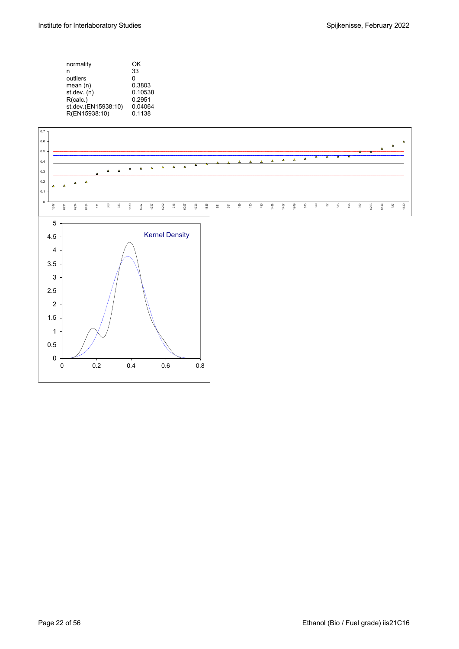| normality           | ΩK      |
|---------------------|---------|
| n                   | 33      |
| outliers            | ŋ       |
| mean $(n)$          | 0.3803  |
| st.dev. (n)         | 0.10538 |
| R(calc.)            | 0.2951  |
| st.dev.(EN15938:10) | 0.04064 |
| R(EN15938:10)       | 0.1138  |
|                     |         |

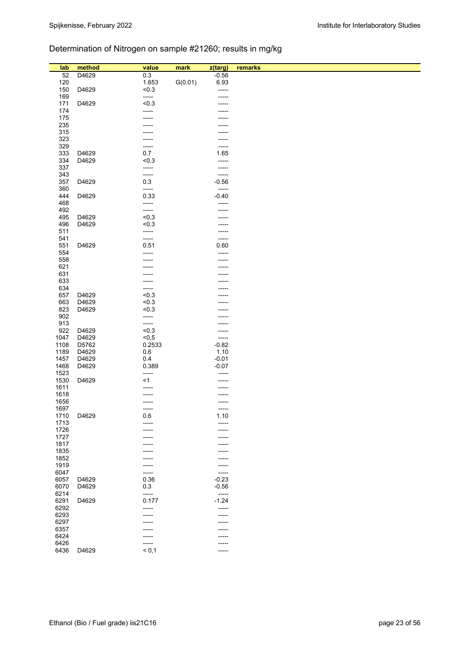# Determination of Nitrogen on sample #21260; results in mg/kg

| lab          | method | value          | mark    | z(targ)            | remarks |
|--------------|--------|----------------|---------|--------------------|---------|
| 52           | D4629  | 0.3            |         | $-0.56$            |         |
| 120          |        | 1.653          | G(0.01) | 6.93               |         |
| 150          | D4629  | < 0.3<br>----- |         | -----              |         |
| 169<br>171   | D4629  | < 0.3          |         | -----              |         |
| 174          |        | -----          |         |                    |         |
| 175          |        | -----          |         |                    |         |
| 235          |        |                |         |                    |         |
| 315          |        | -----          |         |                    |         |
| 323          |        |                |         | -----              |         |
| 329          |        | -----          |         | -----              |         |
| 333          | D4629  | 0.7            |         | 1.65               |         |
| 334          | D4629  | < 0.3          |         | -----              |         |
| 337          |        | -----          |         | -----              |         |
| 343          |        | -----          |         | -----              |         |
| 357          | D4629  | 0.3            |         | $-0.56$            |         |
| 360          |        | -----          |         | -----              |         |
| 444          | D4629  | 0.33           |         | $-0.40$            |         |
| 468          |        | -----          |         | -----              |         |
| 492          |        | -----          |         | -----              |         |
| 495          | D4629  | < 0, 3         |         |                    |         |
| 496          | D4629  | < 0.3          |         | -----              |         |
| 511          |        | -----          |         | -----              |         |
| 541          |        | -----          |         | -----              |         |
| 551<br>554   | D4629  | 0.51<br>-----  |         | 0.60<br>-----      |         |
| 558          |        |                |         |                    |         |
| 621          |        |                |         |                    |         |
| 631          |        |                |         |                    |         |
| 633          |        | -----          |         |                    |         |
| 634          |        |                |         |                    |         |
| 657          | D4629  | < 0.3          |         |                    |         |
| 663          | D4629  | < 0.3          |         |                    |         |
| 823          | D4629  | < 0.3          |         |                    |         |
| 902          |        | -----          |         |                    |         |
| 913          |        | -----          |         |                    |         |
| 922          | D4629  | < 0.3          |         | -----              |         |
| 1047         | D4629  | < 0, 5         |         | -----              |         |
| 1108         | D5762  | 0.2533         |         | $-0.82$            |         |
| 1189         | D4629  | $0.6\,$        |         | 1.10               |         |
| 1457         | D4629  | 0.4            |         | $-0.01$            |         |
| 1468<br>1523 | D4629  | 0.389<br>----- |         | $-0.07$<br>-----   |         |
| 1530         | D4629  | $<$ 1          |         |                    |         |
| 1611         |        | -----          |         | -----              |         |
| 1618         |        | -----          |         | -----              |         |
| 1656         |        | -----          |         | -----              |         |
| 1697         |        | -----          |         | $-----$            |         |
| 1710         | D4629  | 0.6            |         | 1.10               |         |
| 1713         |        |                |         | $-----$            |         |
| 1726         |        | ----           |         | -----              |         |
| 1727         |        |                |         | -----              |         |
| 1817         |        |                |         |                    |         |
| 1835         |        |                |         |                    |         |
| 1852         |        |                |         |                    |         |
| 1919         |        |                |         | -----              |         |
| 6047         |        | -----          |         | -----              |         |
| 6057         | D4629  | 0.36           |         | $-0.23$            |         |
| 6070         | D4629  | 0.3            |         | $-0.56$            |         |
| 6214<br>6291 | D4629  | -----<br>0.177 |         | $-----$<br>$-1.24$ |         |
| 6292         |        | -----          |         | $-----$            |         |
| 6293         |        |                |         | -----              |         |
| 6297         |        |                |         | -----              |         |
| 6357         |        |                |         |                    |         |
| 6424         |        |                |         |                    |         |
| 6426         |        | -----          |         | -----              |         |
| 6436         | D4629  | < 0,1          |         | -----              |         |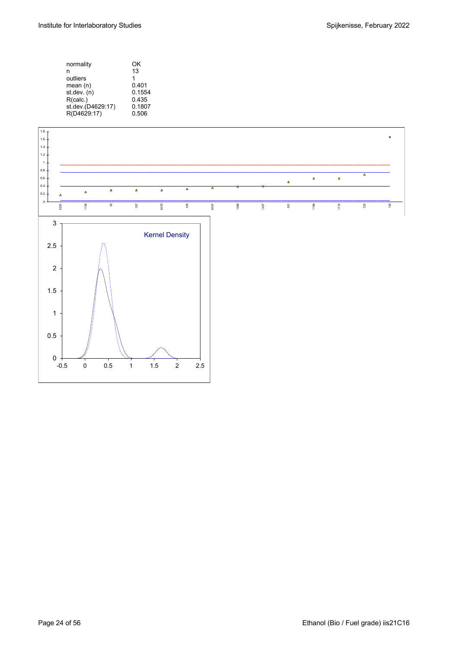| normality         | OK     |
|-------------------|--------|
| n                 | 13     |
| outliers          | 1      |
| mean $(n)$        | 0.401  |
| st.dev. (n)       | 0.1554 |
| R(calc.)          | 0.435  |
| st.dev.(D4629:17) | 0.1807 |
| R(D4629:17)       | 0.506  |
|                   |        |

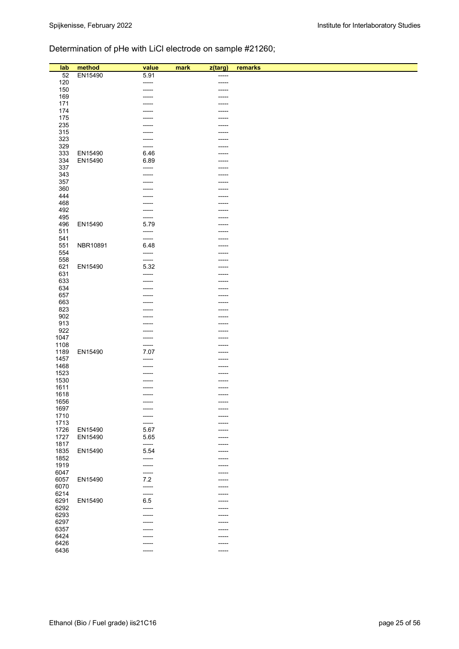# Determination of pHe with LiCl electrode on sample #21260;

| lab          | method   | value         | mark<br>z(targ) | remarks |
|--------------|----------|---------------|-----------------|---------|
| 52           | EN15490  | 5.91          | -----           |         |
| 120          |          | -----         | -----           |         |
| 150          |          | ------        | -----           |         |
| 169          |          |               | -----           |         |
| 171          |          |               | -----           |         |
| 174          |          |               | -----           |         |
| 175          |          |               | -----           |         |
| 235          |          |               | -----           |         |
| 315          |          |               | -----           |         |
| 323          |          |               | -----           |         |
| 329          |          | -----         |                 |         |
| 333          | EN15490  | 6.46          |                 |         |
| 334          | EN15490  | 6.89          |                 |         |
| 337          |          | -----         | -----           |         |
| 343          |          |               |                 |         |
| 357          |          |               |                 |         |
| 360          |          |               |                 |         |
| 444          |          |               | -----           |         |
| 468          |          |               | -----           |         |
| 492          |          |               |                 |         |
| 495          |          | -----         |                 |         |
| 496          | EN15490  | 5.79          |                 |         |
| 511          |          | -----         | -----           |         |
| 541<br>551   | NBR10891 | -----<br>6.48 | -----           |         |
| 554          |          | -----         |                 |         |
| 558          |          | -----         |                 |         |
| 621          | EN15490  | 5.32          |                 |         |
| 631          |          | -----         |                 |         |
| 633          |          | -----         | -----           |         |
| 634          |          |               | -----           |         |
| 657          |          |               |                 |         |
| 663          |          |               | -----           |         |
| 823          |          |               | -----           |         |
| 902          |          |               |                 |         |
| 913          |          |               | -----           |         |
| 922          |          |               | -----           |         |
| 1047         |          | -----         | -----           |         |
| 1108         |          | -----         |                 |         |
| 1189         | EN15490  | 7.07          | -----           |         |
| 1457         |          | -----         |                 |         |
| 1468         |          |               |                 |         |
| 1523<br>1530 |          |               |                 |         |
| 1611         |          |               |                 |         |
| 1618         |          |               | -----           |         |
| 1656         |          | ------        | -----           |         |
| 1697         |          | ------        | -----           |         |
| 1710         |          | -----         |                 |         |
| 1713         |          | ------        |                 |         |
| 1726         | EN15490  | 5.67          |                 |         |
| 1727         | EN15490  | 5.65          |                 |         |
| 1817         |          | -----         | -----           |         |
| 1835         | EN15490  | 5.54          | -----           |         |
| 1852         |          | -----         | -----           |         |
| 1919         |          | -----         |                 |         |
| 6047         |          | ------        |                 |         |
| 6057         | EN15490  | $7.2\,$       |                 |         |
| 6070         |          | -----         | -----           |         |
| 6214         |          | -----         |                 |         |
| 6291         | EN15490  | 6.5           |                 |         |
| 6292<br>6293 |          | -----         |                 |         |
| 6297         |          | -----         | -----<br>-----  |         |
| 6357         |          |               |                 |         |
| 6424         |          |               | -----           |         |
| 6426         |          |               | -----           |         |
| 6436         |          |               | -----           |         |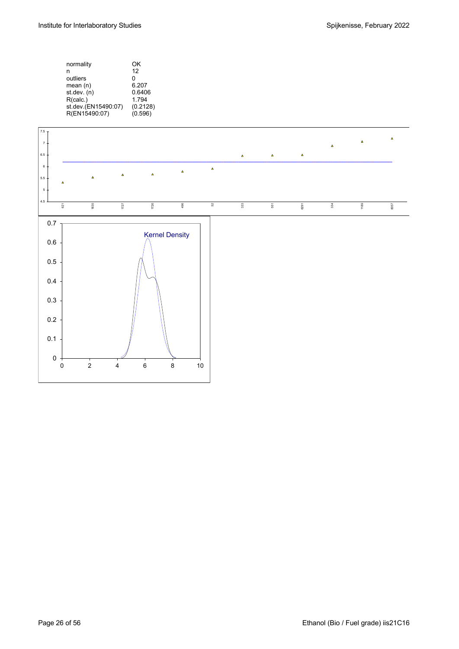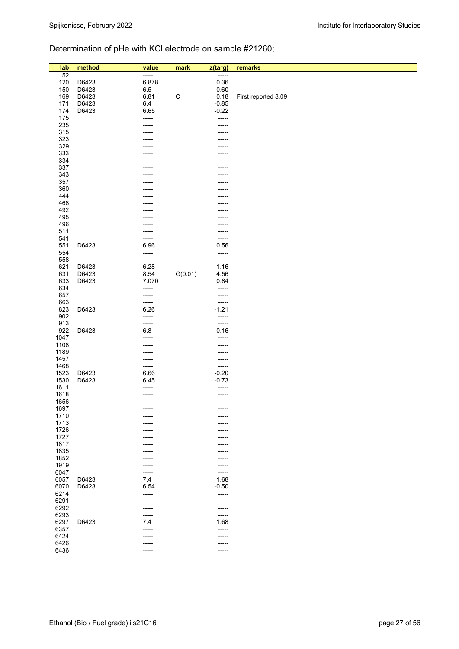# Determination of pHe with KCl electrode on sample #21260;

|              | method | value   |              |                  |                     |
|--------------|--------|---------|--------------|------------------|---------------------|
| lab<br>52    |        | T       | mark         | z(targ)<br>----- | remarks             |
| 120          | D6423  | 6.878   |              | 0.36             |                     |
| 150          | D6423  | $6.5\,$ |              | $-0.60$          |                     |
| 169          | D6423  | 6.81    | $\mathsf{C}$ | 0.18             | First reported 8.09 |
| 171          | D6423  | 6.4     |              | $-0.85$          |                     |
| 174          | D6423  | 6.65    |              | $-0.22$          |                     |
| 175          |        | -----   |              | -----            |                     |
| 235          |        | -----   |              | -----            |                     |
| 315          |        |         |              | -----            |                     |
| 323          |        |         |              | -----            |                     |
| 329          |        |         |              | -----            |                     |
| 333          |        |         |              |                  |                     |
| 334          |        |         |              |                  |                     |
| 337          |        |         |              |                  |                     |
| 343          |        |         |              |                  |                     |
| 357          |        |         |              |                  |                     |
| 360          |        |         |              |                  |                     |
| 444          |        |         |              |                  |                     |
| 468          |        |         |              |                  |                     |
| 492          |        |         |              |                  |                     |
| 495          |        |         |              |                  |                     |
| 496          |        |         |              |                  |                     |
| 511<br>541   |        |         |              | -----            |                     |
| 551          | D6423  | 6.96    |              | -----<br>0.56    |                     |
| 554          |        | -----   |              | -----            |                     |
| 558          |        | -----   |              | -----            |                     |
| 621          | D6423  | 6.28    |              | $-1.16$          |                     |
| 631          | D6423  | 8.54    | G(0.01)      | 4.56             |                     |
| 633          | D6423  | 7.070   |              | 0.84             |                     |
| 634          |        | -----   |              | -----            |                     |
| 657          |        | -----   |              | -----            |                     |
| 663          |        | -----   |              | -----            |                     |
| 823          | D6423  | 6.26    |              | $-1.21$          |                     |
| 902          |        | -----   |              | -----            |                     |
| 913          |        | -----   |              | -----            |                     |
| 922          | D6423  | 6.8     |              | 0.16             |                     |
| 1047         |        | -----   |              | -----            |                     |
| 1108         |        |         |              | -----            |                     |
| 1189         |        | -----   |              | -----            |                     |
| 1457         |        | -----   |              | -----            |                     |
| 1468         |        | -----   |              | -----            |                     |
| 1523         | D6423  | 6.66    |              | $-0.20$          |                     |
| 1530         | D6423  | 6.45    |              | $-0.73$          |                     |
| 1611<br>1618 |        | -----   |              | -----            |                     |
| 1656         |        | -----   |              | -----<br>-----   |                     |
| 1697         |        |         |              |                  |                     |
| 1710         |        |         |              |                  |                     |
| 1713         |        |         |              |                  |                     |
| 1726         |        |         |              |                  |                     |
| 1727         |        |         |              |                  |                     |
| 1817         |        |         |              |                  |                     |
| 1835         |        |         |              |                  |                     |
| 1852         |        |         |              | -----            |                     |
| 1919         |        |         |              | -----            |                     |
| 6047         |        |         |              | -----            |                     |
| 6057         | D6423  | 7.4     |              | 1.68             |                     |
| 6070         | D6423  | 6.54    |              | $-0.50$          |                     |
| 6214         |        | -----   |              | -----            |                     |
| 6291         |        |         |              | -----            |                     |
| 6292         |        |         |              | -----            |                     |
| 6293         |        |         |              | -----            |                     |
| 6297         | D6423  | 7.4     |              | 1.68             |                     |
| 6357         |        |         |              | -----            |                     |
| 6424<br>6426 |        |         |              | -----            |                     |
| 6436         |        | -----   |              | -----            |                     |
|              |        |         |              |                  |                     |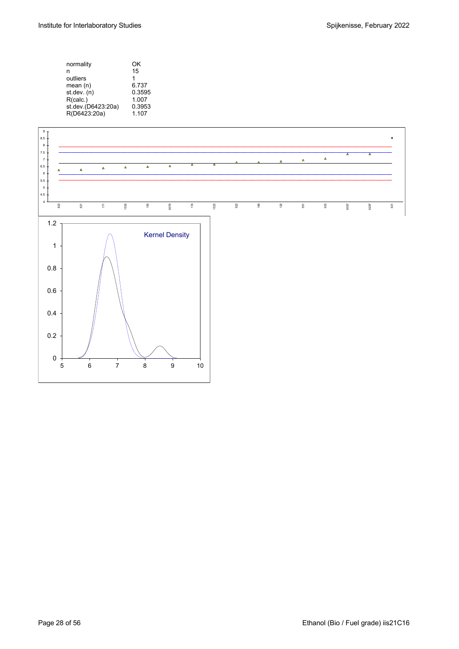| normality<br>n<br>outliers<br>mean $(n)$<br>st.dev. (n)<br>R(calc.)<br>st.dev.(D6423:20a) | OK<br>15<br>1<br>6.737<br>0.3595<br>1.007<br>0.3953 |
|-------------------------------------------------------------------------------------------|-----------------------------------------------------|
| R(D6423:20a)                                                                              | 1.107                                               |
|                                                                                           |                                                     |

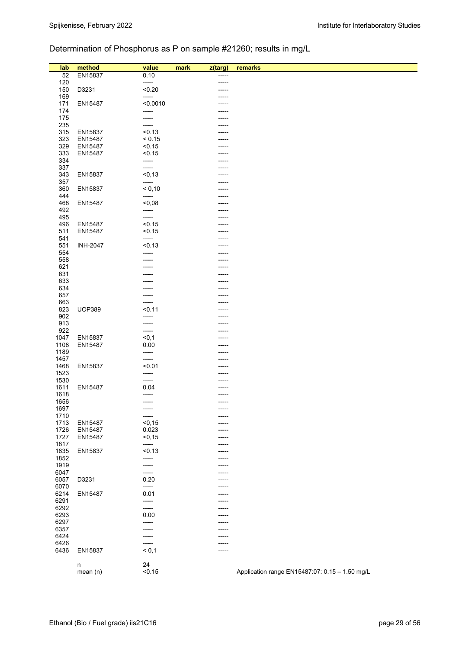# Determination of Phosphorus as P on sample #21260; results in mg/L

| lab        | method          | value           | mark |                | remarks                                        |
|------------|-----------------|-----------------|------|----------------|------------------------------------------------|
|            | EN15837         |                 |      | z(targ)        |                                                |
| 52<br>120  |                 | 0.10<br>-----   |      | -----<br>----- |                                                |
|            |                 | < 0.20          |      |                |                                                |
| 150<br>169 | D3231           | -----           |      |                |                                                |
|            |                 | < 0.0010        |      |                |                                                |
| 171<br>174 | EN15487         | -----           |      | -----          |                                                |
| 175        |                 |                 |      |                |                                                |
| 235        |                 | -----           |      |                |                                                |
| 315        | EN15837         | -----<br>< 0.13 |      |                |                                                |
| 323        | EN15487         | < 0.15          |      |                |                                                |
|            |                 | < 0.15          |      |                |                                                |
| 329        | EN15487         | < 0.15          |      |                |                                                |
| 333        | EN15487         |                 |      |                |                                                |
| 334        |                 | -----           |      |                |                                                |
| 337        |                 | -----           |      |                |                                                |
| 343        | EN15837         | < 0, 13         |      |                |                                                |
| 357        |                 | -----           |      |                |                                                |
| 360        | EN15837         | < 0,10          |      |                |                                                |
| 444        |                 | -----           |      |                |                                                |
| 468        | EN15487         | $0,08$          |      |                |                                                |
| 492        |                 | -----           |      |                |                                                |
| 495        |                 | -----           |      |                |                                                |
| 496        | EN15487         | < 0.15          |      |                |                                                |
| 511        | EN15487         | < 0.15          |      |                |                                                |
| 541        |                 | -----           |      |                |                                                |
| 551        | <b>INH-2047</b> | < 0.13          |      |                |                                                |
| 554        |                 | -----           |      |                |                                                |
| 558        |                 |                 |      |                |                                                |
| 621        |                 |                 |      |                |                                                |
| 631        |                 |                 |      |                |                                                |
| 633        |                 |                 |      |                |                                                |
| 634        |                 |                 |      |                |                                                |
| 657        |                 |                 |      |                |                                                |
| 663        |                 | -----           |      |                |                                                |
| 823        | <b>UOP389</b>   | < 0.11          |      |                |                                                |
| 902        |                 | -----           |      |                |                                                |
| 913        |                 | -----           |      |                |                                                |
| 922        |                 | -----           |      |                |                                                |
| 1047       | EN15837         | < 0, 1          |      |                |                                                |
| 1108       | EN15487         | 0.00            |      |                |                                                |
| 1189       |                 | -----           |      |                |                                                |
| 1457       |                 | -----           |      |                |                                                |
| 1468       | EN15837         | < 0.01          |      |                |                                                |
| 1523       |                 | -----           |      |                |                                                |
| 1530       |                 | -----           |      |                |                                                |
| 1611       | EN15487         | 0.04            |      |                |                                                |
| 1618       |                 | ------          |      |                |                                                |
| 1656       |                 | $- - - - -$     |      | $- - - - -$    |                                                |
| 1697       |                 | -----           |      |                |                                                |
| 1710       |                 | -----           |      | -----          |                                                |
| 1713       | EN15487         | < 0, 15         |      |                |                                                |
| 1726       | EN15487         | 0.023           |      |                |                                                |
| 1727       | EN15487         | < 0, 15         |      |                |                                                |
| 1817       |                 | -----           |      |                |                                                |
| 1835       | EN15837         | < 0.13          |      |                |                                                |
| 1852       |                 | -----           |      |                |                                                |
| 1919       |                 |                 |      |                |                                                |
| 6047       |                 | -----           |      |                |                                                |
| 6057       | D3231           | 0.20            |      |                |                                                |
| 6070       |                 | -----           |      |                |                                                |
| 6214       |                 | 0.01            |      | -----          |                                                |
|            | EN15487         |                 |      |                |                                                |
| 6291       |                 | -----           |      |                |                                                |
| 6292       |                 | -----           |      | -----          |                                                |
| 6293       |                 | 0.00            |      |                |                                                |
| 6297       |                 | -----           |      |                |                                                |
| 6357       |                 |                 |      |                |                                                |
| 6424       |                 |                 |      |                |                                                |
| 6426       |                 |                 |      |                |                                                |
| 6436       | EN15837         | < 0,1           |      | -----          |                                                |
|            |                 |                 |      |                |                                                |
|            | n               | 24              |      |                |                                                |
|            | mean (n)        | < 0.15          |      |                | Application range EN15487:07: 0.15 - 1.50 mg/L |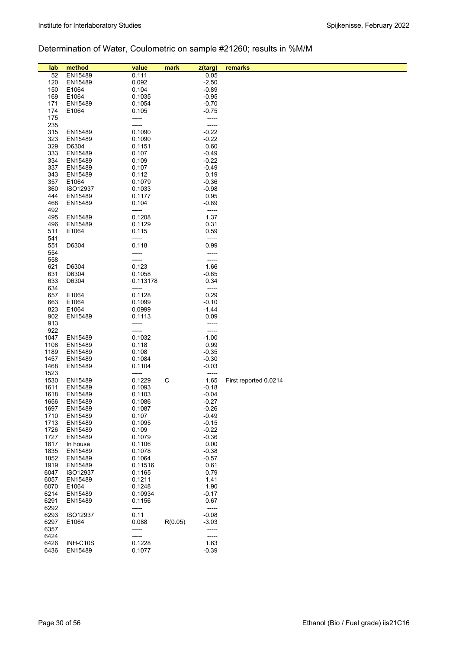# Determination of Water, Coulometric on sample #21260; results in %M/M

| lab          | method              | value            | mark    | z(targ)          | remarks               |
|--------------|---------------------|------------------|---------|------------------|-----------------------|
| 52           | EN15489             | 0.111            |         | 0.05             |                       |
| 120          | EN15489             | 0.092            |         | $-2.50$          |                       |
| 150          | E1064               | 0.104            |         | $-0.89$          |                       |
| 169          | E1064               | 0.1035           |         | $-0.95$          |                       |
| 171          | EN15489             | 0.1054           |         | $-0.70$          |                       |
| 174          | E1064               | 0.105            |         | $-0.75$          |                       |
| 175          |                     | -----            |         | -----            |                       |
| 235          |                     | -----            |         | -----            |                       |
| 315          | EN15489             | 0.1090           |         | $-0.22$          |                       |
| 323          | EN15489             | 0.1090           |         | $-0.22$          |                       |
| 329          | D6304               | 0.1151           |         | 0.60             |                       |
| 333          | EN15489             | 0.107            |         | $-0.49$          |                       |
| 334          | EN15489             | 0.109            |         | $-0.22$          |                       |
| 337          | EN15489             | 0.107            |         | $-0.49$          |                       |
| 343          | EN15489             | 0.112            |         | 0.19             |                       |
| 357          | E1064               | 0.1079           |         | $-0.36$          |                       |
| 360          | <b>ISO12937</b>     | 0.1033           |         | $-0.98$          |                       |
| 444<br>468   | EN15489             | 0.1177           |         | 0.95             |                       |
| 492          | EN15489             | 0.104<br>-----   |         | $-0.89$<br>----- |                       |
| 495          | EN15489             | 0.1208           |         | 1.37             |                       |
| 496          | EN15489             | 0.1129           |         | 0.31             |                       |
| 511          | E1064               | 0.115            |         | 0.59             |                       |
| 541          |                     | -----            |         | -----            |                       |
| 551          | D6304               | 0.118            |         | 0.99             |                       |
| 554          |                     |                  |         | -----            |                       |
| 558          |                     | -----            |         | -----            |                       |
| 621          | D6304               | 0.123            |         | 1.66             |                       |
| 631          | D6304               | 0.1058           |         | $-0.65$          |                       |
| 633          | D6304               | 0.113178         |         | 0.34             |                       |
| 634          |                     | -----            |         | -----            |                       |
| 657          | E1064               | 0.1128           |         | 0.29             |                       |
| 663          | E1064               | 0.1099           |         | $-0.10$          |                       |
| 823          | E1064               | 0.0999           |         | $-1.44$          |                       |
| 902          | EN15489             | 0.1113           |         | 0.09             |                       |
| 913          |                     | -----            |         | -----            |                       |
| 922          |                     |                  |         | -----            |                       |
| 1047         | EN15489             | 0.1032           |         | $-1.00$          |                       |
| 1108<br>1189 | EN15489<br>EN15489  | 0.118<br>0.108   |         | 0.99<br>$-0.35$  |                       |
| 1457         | EN15489             | 0.1084           |         | $-0.30$          |                       |
| 1468         | EN15489             | 0.1104           |         | -0.03            |                       |
| 1523         |                     | -----            |         | -----            |                       |
| 1530         | EN15489             | 0.1229           | C       | 1.65             | First reported 0.0214 |
| 1611         | EN15489             | 0.1093           |         | $-0.18$          |                       |
| 1618         | EN15489             | 0.1103           |         | $-0.04$          |                       |
| 1656         | EN15489             | 0.1086           |         | $-0.27$          |                       |
| 1697         | EN15489             | 0.1087           |         | $-0.26$          |                       |
| 1710         | EN15489             | 0.107            |         | $-0.49$          |                       |
| 1713         | EN15489             | 0.1095           |         | $-0.15$          |                       |
| 1726         | EN15489             | 0.109            |         | $-0.22$          |                       |
| 1727         | EN15489             | 0.1079           |         | $-0.36$          |                       |
| 1817         | In house            | 0.1106           |         | 0.00             |                       |
| 1835         | EN15489             | 0.1078           |         | $-0.38$          |                       |
| 1852         | EN15489             | 0.1064           |         | $-0.57$          |                       |
| 1919         | EN15489             | 0.11516          |         | 0.61             |                       |
| 6047<br>6057 | ISO12937<br>EN15489 | 0.1165           |         | 0.79<br>1.41     |                       |
| 6070         | E1064               | 0.1211<br>0.1248 |         | 1.90             |                       |
| 6214         | EN15489             | 0.10934          |         | $-0.17$          |                       |
| 6291         | EN15489             | 0.1156           |         | 0.67             |                       |
| 6292         |                     | -----            |         | -----            |                       |
| 6293         | ISO12937            | 0.11             |         | $-0.08$          |                       |
| 6297         | E1064               | 0.088            | R(0.05) | $-3.03$          |                       |
| 6357         |                     | -----            |         | -----            |                       |
| 6424         |                     |                  |         | -----            |                       |
| 6426         | INH-C10S            | 0.1228           |         | 1.63             |                       |
| 6436         | EN15489             | 0.1077           |         | $-0.39$          |                       |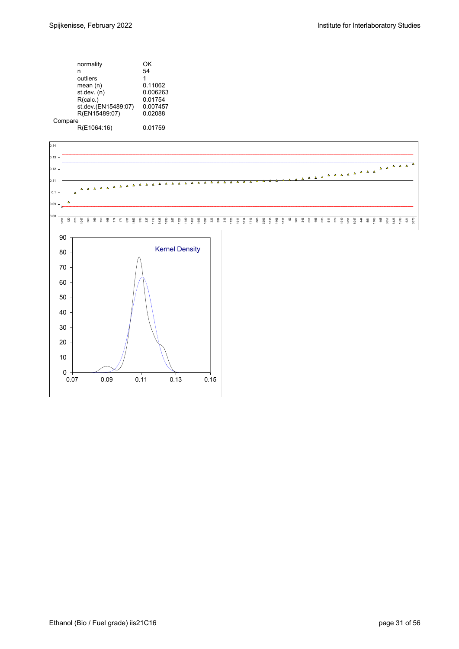| normality           | OK       |
|---------------------|----------|
| n                   | 54       |
| outliers            | 1        |
| mean(n)             | 0.11062  |
| st.dev. (n)         | 0.006263 |
| R(calc.)            | 0.01754  |
| st.dev.(EN15489:07) | 0.007457 |
| R(EN15489:07)       | 0.02088  |
| Compare             |          |
| R(E1064:16)         | 0.01759  |

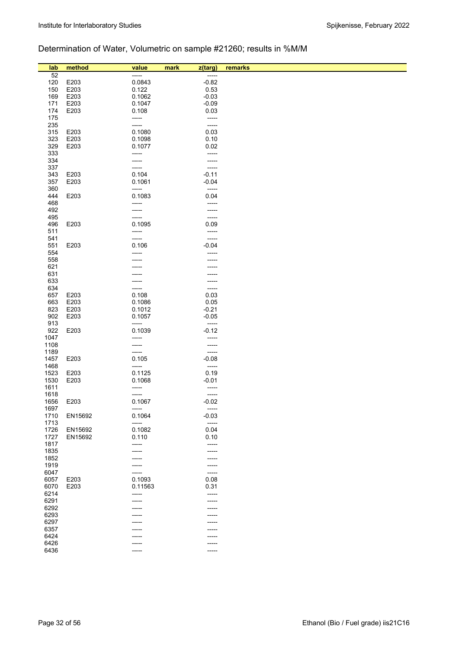# Determination of Water, Volumetric on sample #21260; results in %M/M

| lab          | method  | value   | mark<br>z(targ) | remarks |
|--------------|---------|---------|-----------------|---------|
| 52           |         | -----   | -----           |         |
| 120          | E203    | 0.0843  | $-0.82$         |         |
| 150          | E203    | 0.122   | 0.53            |         |
| 169          | E203    | 0.1062  | $-0.03$         |         |
| 171          | E203    | 0.1047  | $-0.09$         |         |
| 174          | E203    | 0.108   | 0.03            |         |
| 175          |         | -----   | $-----$         |         |
| 235          |         | -----   | $-----$         |         |
| 315          | E203    | 0.1080  | 0.03            |         |
| 323          | E203    | 0.1098  | 0.10            |         |
| 329          | E203    | 0.1077  | 0.02            |         |
| 333          |         | -----   | -----           |         |
| 334          |         |         | -----           |         |
| 337          |         | -----   | -----           |         |
| 343          | E203    | 0.104   | $-0.11$         |         |
| 357          | E203    | 0.1061  | $-0.04$         |         |
| 360          |         | -----   | $-----$         |         |
| 444          | E203    | 0.1083  | 0.04            |         |
| 468<br>492   |         | -----   | -----           |         |
| 495          |         | -----   | -----<br>-----  |         |
| 496          | E203    | 0.1095  | 0.09            |         |
| 511          |         | -----   | $-----$         |         |
| 541          |         | -----   | -----           |         |
| 551          | E203    | 0.106   | $-0.04$         |         |
| 554          |         | -----   | -----           |         |
| 558          |         |         |                 |         |
| 621          |         |         |                 |         |
| 631          |         |         |                 |         |
| 633          |         |         | -----           |         |
| 634          |         |         | -----           |         |
| 657          | E203    | 0.108   | 0.03            |         |
| 663          | E203    | 0.1086  | 0.05            |         |
| 823          | E203    | 0.1012  | $-0.21$         |         |
| 902          | E203    | 0.1057  | $-0.05$         |         |
| 913          |         | -----   | -----           |         |
| 922          | E203    | 0.1039  | $-0.12$         |         |
| 1047<br>1108 |         | -----   | -----           |         |
| 1189         |         | -----   | -----<br>-----  |         |
| 1457         | E203    | 0.105   | $-0.08$         |         |
| 1468         |         | -----   | $-----$         |         |
| 1523         | E203    | 0.1125  | 0.19            |         |
| 1530         | E203    | 0.1068  | $-0.01$         |         |
| 1611         |         | -----   | -----           |         |
| 1618         |         | -----   | -----           |         |
| 1656         | E203    | 0.1067  | $-0.02$         |         |
| 1697         |         | -----   | -----           |         |
| 1710         | EN15692 | 0.1064  | $-0.03$         |         |
| 1713         |         | -----   | -----           |         |
| 1726         | EN15692 | 0.1082  | 0.04            |         |
| 1727         | EN15692 | 0.110   | 0.10            |         |
| 1817<br>1835 |         | -----   | -----           |         |
| 1852         |         |         | -----           |         |
| 1919         |         | -----   | -----<br>-----  |         |
| 6047         |         |         | $- - - - -$     |         |
| 6057         | E203    | 0.1093  | 0.08            |         |
| 6070         | E203    | 0.11563 | 0.31            |         |
| 6214         |         | -----   | -----           |         |
| 6291         |         |         |                 |         |
| 6292         |         |         |                 |         |
| 6293         |         |         |                 |         |
| 6297         |         |         | -----           |         |
| 6357         |         |         |                 |         |
| 6424         |         |         |                 |         |
| 6426         |         |         | -----           |         |
| 6436         |         | -----   | -----           |         |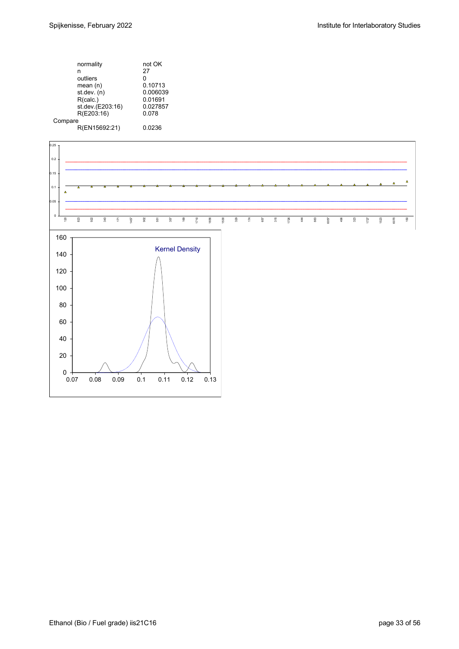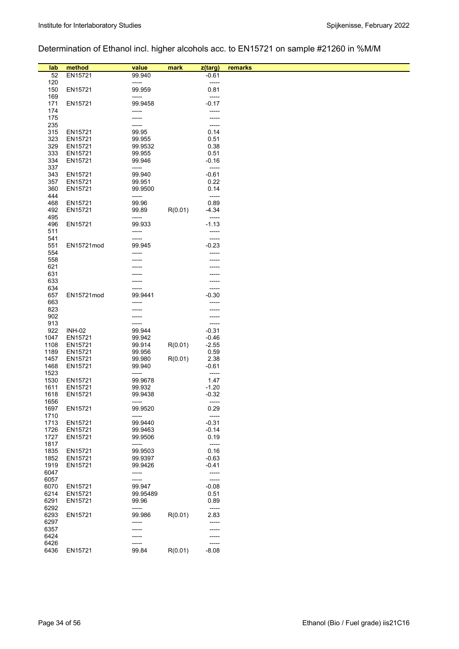# Determination of Ethanol incl. higher alcohols acc. to EN15721 on sample #21260 in %M/M

| lab          | method             | value             | mark    | z(targ)          | remarks |
|--------------|--------------------|-------------------|---------|------------------|---------|
| 52<br>120    | EN15721            | 99.940<br>-----   |         | $-0.61$<br>----- |         |
| 150          | EN15721            | 99.959            |         | 0.81             |         |
| 169          |                    | -----             |         | -----            |         |
| 171          | EN15721            | 99.9458           |         | $-0.17$          |         |
| 174          |                    | -----             |         | -----            |         |
| 175          |                    | -----             |         | -----            |         |
| 235          |                    | -----             |         | -----            |         |
| 315<br>323   | EN15721            | 99.95             |         | 0.14             |         |
| 329          | EN15721<br>EN15721 | 99.955<br>99.9532 |         | 0.51<br>0.38     |         |
| 333          | EN15721            | 99.955            |         | 0.51             |         |
| 334          | EN15721            | 99.946            |         | $-0.16$          |         |
| 337          |                    | -----             |         | -----            |         |
| 343          | EN15721            | 99.940            |         | $-0.61$          |         |
| 357          | EN15721            | 99.951            |         | 0.22             |         |
| 360          | EN15721            | 99.9500           |         | 0.14             |         |
| 444<br>468   | EN15721            | -----<br>99.96    |         | -----<br>0.89    |         |
| 492          | EN15721            | 99.89             | R(0.01) | $-4.34$          |         |
| 495          |                    | -----             |         | -----            |         |
| 496          | EN15721            | 99.933            |         | $-1.13$          |         |
| 511          |                    | -----             |         | -----            |         |
| 541          |                    | -----             |         | -----            |         |
| 551          | EN15721mod         | 99.945            |         | $-0.23$          |         |
| 554<br>558   |                    |                   |         | -----            |         |
| 621          |                    |                   |         |                  |         |
| 631          |                    |                   |         |                  |         |
| 633          |                    |                   |         |                  |         |
| 634          |                    |                   |         | -----            |         |
| 657          | EN15721mod         | 99.9441           |         | $-0.30$          |         |
| 663          |                    |                   |         |                  |         |
| 823<br>902   |                    |                   |         |                  |         |
| 913          |                    | -----             |         | -----            |         |
| 922          | <b>INH-02</b>      | 99.944            |         | $-0.31$          |         |
| 1047         | EN15721            | 99.942            |         | $-0.46$          |         |
| 1108         | EN15721            | 99.914            | R(0.01) | $-2.55$          |         |
| 1189         | EN15721            | 99.956            |         | 0.59             |         |
| 1457<br>1468 | EN15721<br>EN15721 | 99.980<br>99.940  | R(0.01) | 2.38<br>$-0.61$  |         |
| 1523         |                    | -----             |         | $-----$          |         |
| 1530         | EN15721            | 99.9678           |         | 1.47             |         |
| 1611         | EN15721            | 99.932            |         | $-1.20$          |         |
| 1618         | EN15721            | 99.9438           |         | $-0.32$          |         |
| 1656         |                    | -----             |         | -----            |         |
| 1697         | EN15721            | 99.9520           |         | 0.29             |         |
| 1710<br>1713 | EN15721            | -----<br>99.9440  |         | -----<br>$-0.31$ |         |
| 1726         | EN15721            | 99.9463           |         | $-0.14$          |         |
| 1727         | EN15721            | 99.9506           |         | 0.19             |         |
| 1817         |                    | -----             |         | $-----$          |         |
| 1835         | EN15721            | 99.9503           |         | 0.16             |         |
| 1852         | EN15721            | 99.9397           |         | $-0.63$          |         |
| 1919<br>6047 | EN15721            | 99.9426<br>-----  |         | -0.41<br>-----   |         |
| 6057         |                    | -----             |         | -----            |         |
| 6070         | EN15721            | 99.947            |         | $-0.08$          |         |
| 6214         | EN15721            | 99.95489          |         | 0.51             |         |
| 6291         | EN15721            | 99.96             |         | 0.89             |         |
| 6292         |                    | -----             |         | $-----$          |         |
| 6293<br>6297 | EN15721            | 99.986<br>-----   | R(0.01) | 2.83<br>-----    |         |
| 6357         |                    | -----             |         | -----            |         |
| 6424         |                    |                   |         |                  |         |
| 6426         |                    |                   |         | -----            |         |
| 6436         | EN15721            | 99.84             | R(0.01) | $-8.08$          |         |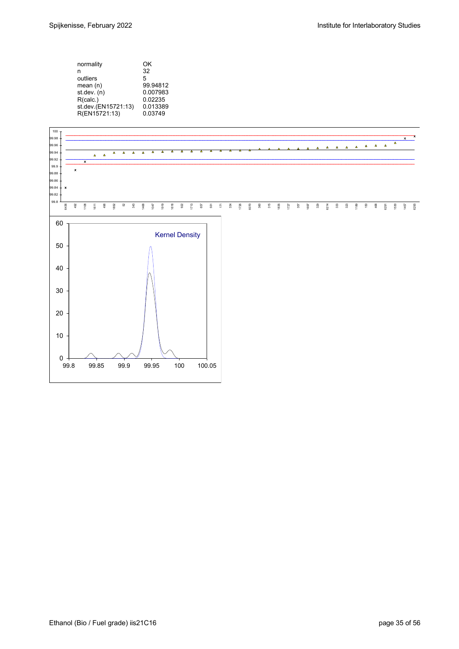| normality           | ΟK       |
|---------------------|----------|
| n                   | 32       |
| outliers            | 5        |
| mean(n)             | 99.94812 |
| st.dev. (n)         | 0.007983 |
| R(calc.)            | 0.02235  |
| st.dev.(EN15721:13) | 0.013389 |
| R(EN15721:13)       | 0.03749  |

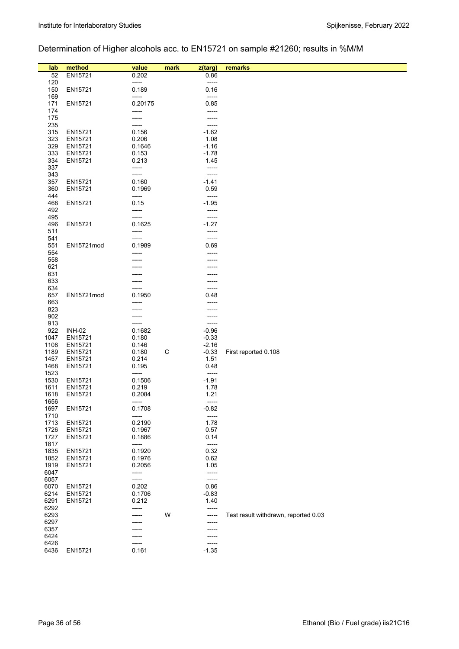# Determination of Higher alcohols acc. to EN15721 on sample #21260; results in %M/M

| lab          | method             | value          | mark | z(targ)            | remarks                              |
|--------------|--------------------|----------------|------|--------------------|--------------------------------------|
| 52           | EN15721            | 0.202          |      | 0.86               |                                      |
| 120          |                    | -----          |      | $-----$            |                                      |
| 150          | EN15721            | 0.189          |      | 0.16               |                                      |
| 169          |                    | -----          |      | -----              |                                      |
| 171          | EN15721            | 0.20175        |      | 0.85               |                                      |
| 174          |                    | -----          |      | -----              |                                      |
| 175          |                    | -----          |      | -----              |                                      |
| 235          |                    | -----          |      | -----              |                                      |
| 315          | EN15721            | 0.156          |      | $-1.62$            |                                      |
| 323          | EN15721            | 0.206          |      | 1.08               |                                      |
| 329          | EN15721            | 0.1646         |      | $-1.16$            |                                      |
| 333          | EN15721            | 0.153          |      | $-1.78$            |                                      |
| 334          | EN15721            | 0.213          |      | 1.45               |                                      |
| 337          |                    | -----          |      | -----              |                                      |
| 343          |                    | -----          |      | -----              |                                      |
| 357          | EN15721            | 0.160          |      | $-1.41$            |                                      |
| 360          | EN15721            | 0.1969         |      | 0.59               |                                      |
| 444          |                    | -----          |      | -----              |                                      |
| 468          | EN15721            | 0.15           |      | $-1.95$            |                                      |
| 492          |                    | -----          |      | -----              |                                      |
| 495          |                    | -----          |      | -----              |                                      |
| 496          | EN15721            | 0.1625         |      | $-1.27$            |                                      |
| 511          |                    | -----          |      | -----              |                                      |
| 541          |                    | -----          |      | $-----$            |                                      |
| 551          | EN15721mod         | 0.1989         |      | 0.69               |                                      |
| 554          |                    |                |      | -----              |                                      |
| 558          |                    |                |      |                    |                                      |
| 621          |                    |                |      |                    |                                      |
| 631          |                    |                |      |                    |                                      |
| 633          |                    |                |      |                    |                                      |
| 634          |                    |                |      | -----              |                                      |
| 657          | EN15721mod         | 0.1950         |      | 0.48               |                                      |
| 663          |                    | -----          |      |                    |                                      |
| 823          |                    |                |      |                    |                                      |
| 902          |                    |                |      | -----              |                                      |
| 913          |                    |                |      | -----              |                                      |
| 922          | <b>INH-02</b>      | 0.1682         |      | $-0.96$            |                                      |
| 1047<br>1108 | EN15721            | 0.180          |      | $-0.33$<br>$-2.16$ |                                      |
| 1189         | EN15721<br>EN15721 | 0.146<br>0.180 |      |                    |                                      |
| 1457         | EN15721            | 0.214          | С    | $-0.33$<br>1.51    | First reported 0.108                 |
| 1468         | EN15721            | 0.195          |      | 0.48               |                                      |
| 1523         |                    | -----          |      | -----              |                                      |
| 1530         | EN15721            | 0.1506         |      | $-1.91$            |                                      |
| 1611         | EN15721            | 0.219          |      | 1.78               |                                      |
| 1618         | EN15721            | 0.2084         |      | 1.21               |                                      |
| 1656         |                    | -----          |      | -----              |                                      |
| 1697         | EN15721            | 0.1708         |      | $-0.82$            |                                      |
| 1710         |                    | -----          |      | -----              |                                      |
| 1713         | EN15721            | 0.2190         |      | 1.78               |                                      |
| 1726         | EN15721            | 0.1967         |      | 0.57               |                                      |
| 1727         | EN15721            | 0.1886         |      | 0.14               |                                      |
| 1817         |                    | -----          |      | -----              |                                      |
| 1835         | EN15721            | 0.1920         |      | 0.32               |                                      |
| 1852         | EN15721            | 0.1976         |      | 0.62               |                                      |
| 1919         | EN15721            | 0.2056         |      | 1.05               |                                      |
| 6047         |                    | -----          |      | -----              |                                      |
| 6057         |                    | -----          |      | -----              |                                      |
| 6070         | EN15721            | 0.202          |      | 0.86               |                                      |
| 6214         | EN15721            | 0.1706         |      | $-0.83$            |                                      |
| 6291         | EN15721            | 0.212          |      | 1.40               |                                      |
| 6292         |                    | -----          |      | -----              |                                      |
| 6293         |                    |                | W    | -----              | Test result withdrawn, reported 0.03 |
| 6297         |                    |                |      |                    |                                      |
| 6357         |                    |                |      |                    |                                      |
| 6424         |                    |                |      | -----              |                                      |
| 6426         |                    | -----          |      | -----              |                                      |
| 6436         | EN15721            | 0.161          |      | $-1.35$            |                                      |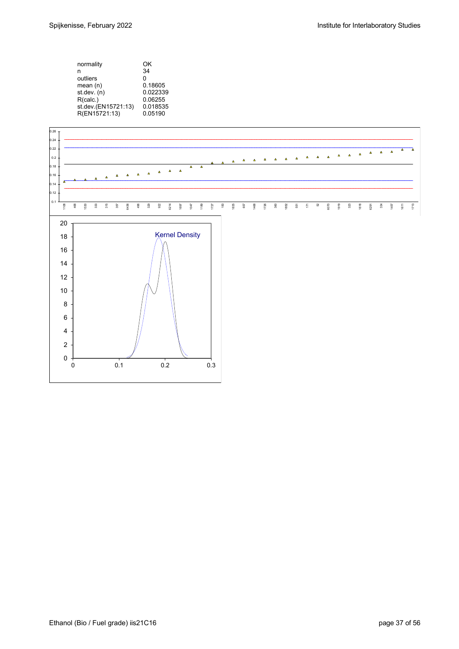

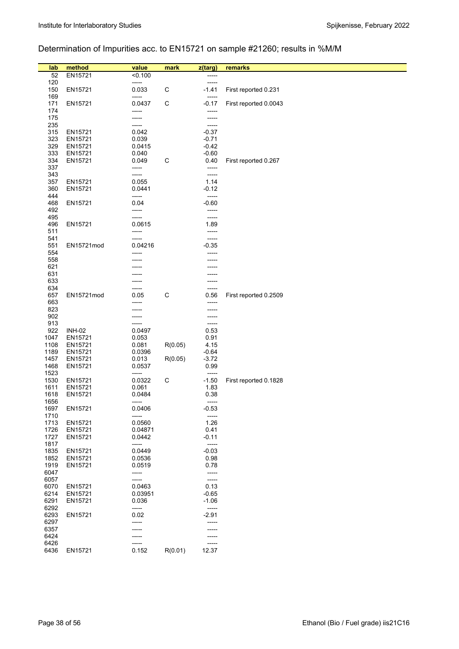# Determination of Impurities acc. to EN15721 on sample #21260; results in %M/M

| lab          | method             | value            | mark        | z(targ)            | remarks               |
|--------------|--------------------|------------------|-------------|--------------------|-----------------------|
| 52<br>120    | EN15721            | < 0.100<br>----- |             | -----<br>-----     |                       |
| 150          | EN15721            | 0.033            | $\mathsf C$ | -1.41              | First reported 0.231  |
| 169          |                    | -----            |             | -----              |                       |
| 171          | EN15721            | 0.0437           | С           | $-0.17$            | First reported 0.0043 |
| 174          |                    | -----            |             | -----              |                       |
| 175          |                    | -----            |             | -----              |                       |
| 235          |                    | -----            |             | -----              |                       |
| 315<br>323   | EN15721<br>EN15721 | 0.042<br>0.039   |             | $-0.37$<br>$-0.71$ |                       |
| 329          | EN15721            | 0.0415           |             | -0.42              |                       |
| 333          | EN15721            | 0.040            |             | $-0.60$            |                       |
| 334          | EN15721            | 0.049            | С           | 0.40               | First reported 0.267  |
| 337          |                    | -----            |             | -----              |                       |
| 343          |                    | -----            |             | -----              |                       |
| 357          | EN15721            | 0.055            |             | 1.14               |                       |
| 360<br>444   | EN15721            | 0.0441<br>-----  |             | -0.12<br>-----     |                       |
| 468          | EN15721            | 0.04             |             | -0.60              |                       |
| 492          |                    | -----            |             | -----              |                       |
| 495          |                    | -----            |             | -----              |                       |
| 496          | EN15721            | 0.0615           |             | 1.89               |                       |
| 511          |                    | -----            |             | -----              |                       |
| 541          |                    | -----            |             | -----              |                       |
| 551          | EN15721mod         | 0.04216          |             | -0.35              |                       |
| 554<br>558   |                    |                  |             |                    |                       |
| 621          |                    |                  |             |                    |                       |
| 631          |                    |                  |             |                    |                       |
| 633          |                    |                  |             | -----              |                       |
| 634          |                    |                  |             | -----              |                       |
| 657          | EN15721mod         | 0.05             | C           | 0.56               | First reported 0.2509 |
| 663<br>823   |                    |                  |             | -----              |                       |
| 902          |                    |                  |             |                    |                       |
| 913          |                    | -----            |             | -----              |                       |
| 922          | <b>INH-02</b>      | 0.0497           |             | 0.53               |                       |
| 1047         | EN15721            | 0.053            |             | 0.91               |                       |
| 1108         | EN15721            | 0.081            | R(0.05)     | 4.15               |                       |
| 1189         | EN15721            | 0.0396           |             | $-0.64$            |                       |
| 1457<br>1468 | EN15721<br>EN15721 | 0.013<br>0.0537  | R(0.05)     | $-3.72$<br>0.99    |                       |
| 1523         |                    | -----            |             | -----              |                       |
| 1530         | EN15721            | 0.0322           | $\mathsf C$ | $-1.50$            | First reported 0.1828 |
| 1611         | EN15721            | 0.061            |             | 1.83               |                       |
| 1618         | EN15721            | 0.0484           |             | 0.38               |                       |
| 1656         |                    | -----            |             | -----              |                       |
| 1697<br>1710 | EN15721            | 0.0406<br>-----  |             | $-0.53$<br>-----   |                       |
| 1713         | EN15721            | 0.0560           |             | 1.26               |                       |
| 1726         | EN15721            | 0.04871          |             | 0.41               |                       |
| 1727         | EN15721            | 0.0442           |             | $-0.11$            |                       |
| 1817         |                    | -----            |             | -----              |                       |
| 1835         | EN15721            | 0.0449           |             | $-0.03$            |                       |
| 1852<br>1919 | EN15721<br>EN15721 | 0.0536<br>0.0519 |             | 0.98<br>0.78       |                       |
| 6047         |                    | -----            |             | -----              |                       |
| 6057         |                    | -----            |             | -----              |                       |
| 6070         | EN15721            | 0.0463           |             | 0.13               |                       |
| 6214         | EN15721            | 0.03951          |             | $-0.65$            |                       |
| 6291         | EN15721            | 0.036            |             | $-1.06$            |                       |
| 6292<br>6293 | EN15721            | -----<br>0.02    |             | -----<br>$-2.91$   |                       |
| 6297         |                    |                  |             | -----              |                       |
| 6357         |                    |                  |             | -----              |                       |
| 6424         |                    |                  |             | -----              |                       |
| 6426         |                    |                  |             | -----              |                       |
| 6436         | EN15721            | 0.152            | R(0.01)     | 12.37              |                       |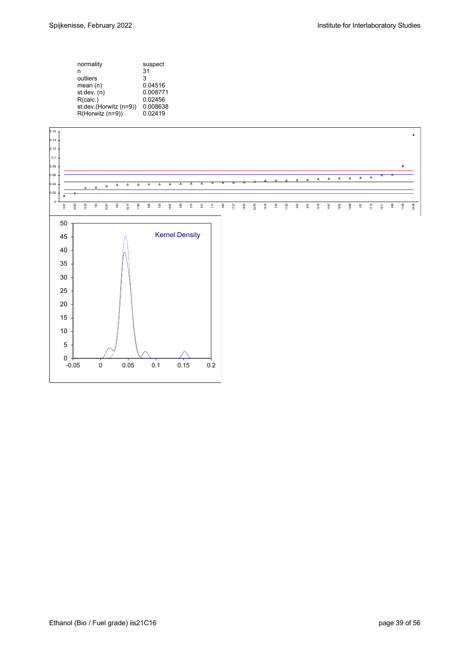| normality              | suspect  |
|------------------------|----------|
| n                      | 31       |
| outliers               | 3        |
| mean(n)                | 0.04516  |
| st.dev. (n)            | 0.008771 |
| R(calc.)               | 0.02456  |
| st.dev.(Horwitz (n=9)) | 0.008638 |
| R(Horwitz (n=9))       | 0.02419  |
|                        |          |

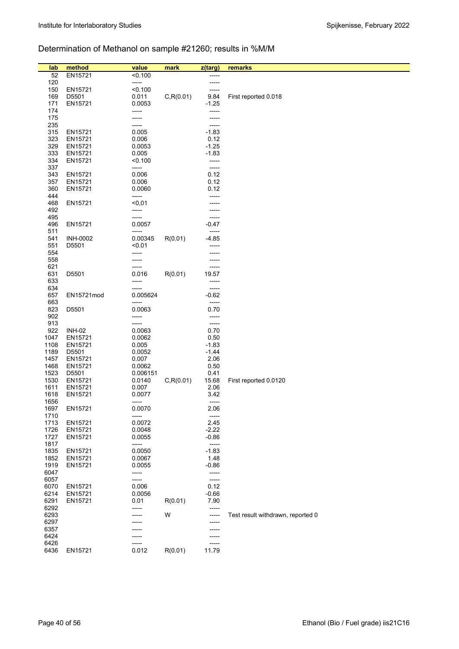# Determination of Methanol on sample #21260; results in %M/M

| lab          | method          | value           | mark       | z(targ)        | remarks                           |
|--------------|-----------------|-----------------|------------|----------------|-----------------------------------|
| 52           | EN15721         | < 0.100         |            | -----          |                                   |
| 120          |                 | -----           |            |                |                                   |
| 150          | EN15721         | < 0.100         |            | -----          |                                   |
| 169          | D5501           | 0.011           | C, R(0.01) | 9.84           | First reported 0.018              |
| 171          | EN15721         | 0.0053          |            | $-1.25$        |                                   |
| 174          |                 | -----           |            | -----          |                                   |
| 175          |                 | -----           |            | -----          |                                   |
| 235          |                 | -----           |            | -----          |                                   |
| 315          | EN15721         | 0.005           |            | $-1.83$        |                                   |
| 323          | EN15721         | 0.006           |            | 0.12           |                                   |
| 329          | EN15721         | 0.0053          |            | $-1.25$        |                                   |
| 333          | EN15721         | 0.005           |            | $-1.83$        |                                   |
| 334          | EN15721         | < 0.100         |            | -----          |                                   |
| 337          |                 | -----           |            | $-----$        |                                   |
| 343          | EN15721         | 0.006           |            | 0.12           |                                   |
| 357          | EN15721         | 0.006           |            | 0.12           |                                   |
| 360          | EN15721         | 0.0060          |            | 0.12           |                                   |
| 444          |                 | -----           |            | -----          |                                   |
| 468          | EN15721         | $0,01$          |            |                |                                   |
| 492          |                 | -----           |            |                |                                   |
| 495          |                 | -----           |            | -----          |                                   |
| 496          | EN15721         | 0.0057          |            | $-0.47$        |                                   |
| 511          |                 | -----           |            | -----          |                                   |
| 541          | <b>INH-0002</b> | 0.00345         | R(0.01)    | $-4.85$        |                                   |
| 551          | D5501           | < 0.01          |            |                |                                   |
| 554          |                 | -----           |            |                |                                   |
| 558          |                 | -----           |            | -----          |                                   |
| 621          |                 |                 |            | -----          |                                   |
| 631<br>633   | D5501           | 0.016<br>-----  | R(0.01)    | 19.57<br>----- |                                   |
| 634          |                 |                 |            | -----          |                                   |
| 657          | EN15721mod      | 0.005624        |            | $-0.62$        |                                   |
| 663          |                 | -----           |            | -----          |                                   |
| 823          | D5501           | 0.0063          |            | 0.70           |                                   |
| 902          |                 | -----           |            | -----          |                                   |
| 913          |                 | -----           |            | -----          |                                   |
| 922          | <b>INH-02</b>   | 0.0063          |            | 0.70           |                                   |
| 1047         | EN15721         | 0.0062          |            | 0.50           |                                   |
| 1108         | EN15721         | 0.005           |            | $-1.83$        |                                   |
| 1189         | D5501           | 0.0052          |            | $-1.44$        |                                   |
| 1457         | EN15721         | 0.007           |            | 2.06           |                                   |
| 1468         | EN15721         | 0.0062          |            | 0.50           |                                   |
| 1523         | D5501           | 0.006151        |            | 0.41           |                                   |
| 1530         | EN15721         | 0.0140          | C, R(0.01) | 15.68          | First reported 0.0120             |
| 1611         | EN15721         | 0.007           |            | 2.06           |                                   |
| 1618         | EN15721         | 0.0077          |            | 3.42           |                                   |
| 1656         |                 | -----           |            | -----          |                                   |
| 1697<br>1710 | EN15721         | 0.0070<br>----- |            | 2.06<br>-----  |                                   |
| 1713         | EN15721         | 0.0072          |            | 2.45           |                                   |
| 1726         | EN15721         | 0.0048          |            | $-2.22$        |                                   |
| 1727         | EN15721         | 0.0055          |            | $-0.86$        |                                   |
| 1817         |                 | -----           |            | -----          |                                   |
| 1835         | EN15721         | 0.0050          |            | $-1.83$        |                                   |
| 1852         | EN15721         | 0.0067          |            | 1.48           |                                   |
| 1919         | EN15721         | 0.0055          |            | $-0.86$        |                                   |
| 6047         |                 | -----           |            | -----          |                                   |
| 6057         |                 | -----           |            | $-----$        |                                   |
| 6070         | EN15721         | 0.006           |            | 0.12           |                                   |
| 6214         | EN15721         | 0.0056          |            | $-0.66$        |                                   |
| 6291         | EN15721         | 0.01            | R(0.01)    | 7.90           |                                   |
| 6292         |                 | -----           |            | -----          |                                   |
| 6293         |                 |                 | W          | -----          | Test result withdrawn, reported 0 |
| 6297         |                 |                 |            | -----          |                                   |
| 6357         |                 |                 |            |                |                                   |
| 6424<br>6426 |                 | -----           |            | -----          |                                   |
| 6436         | EN15721         | 0.012           | R(0.01)    | -----<br>11.79 |                                   |
|              |                 |                 |            |                |                                   |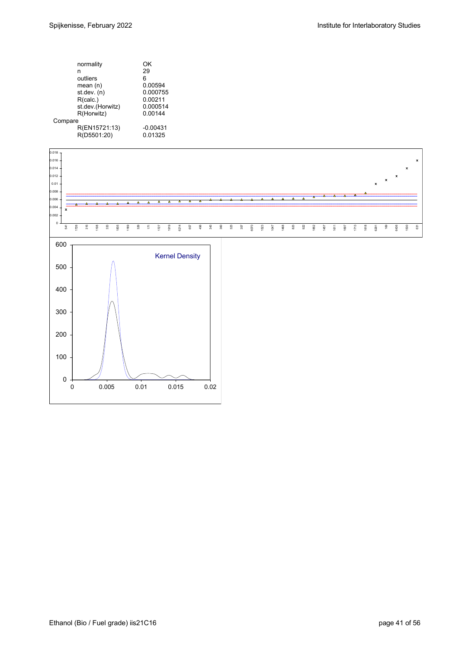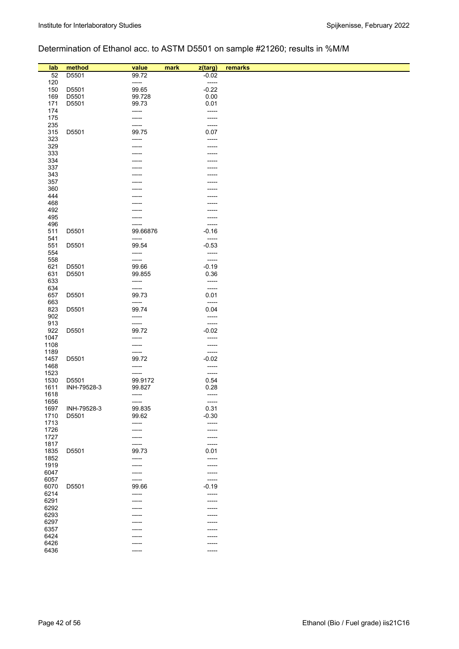# Determination of Ethanol acc. to ASTM D5501 on sample #21260; results in %M/M

| lab        | method      | value           | mark<br>z(targ) | remarks |
|------------|-------------|-----------------|-----------------|---------|
| 52         | D5501       | 99.72           | $-0.02$         |         |
| 120        |             | -----           | -----           |         |
| 150        | D5501       | 99.65           | $-0.22$         |         |
| 169        | D5501       | 99.728          | 0.00            |         |
| 171        | D5501       | 99.73           | 0.01            |         |
| 174        |             | -----           | -----           |         |
| 175        |             | -----           | -----           |         |
| 235        |             | -----           | -----           |         |
| 315        | D5501       | 99.75           | 0.07            |         |
| 323        |             | -----           | -----           |         |
| 329        |             |                 |                 |         |
| 333        |             |                 |                 |         |
| 334        |             |                 |                 |         |
| 337        |             |                 |                 |         |
| 343        |             |                 |                 |         |
| 357        |             |                 |                 |         |
| 360        |             |                 |                 |         |
| 444        |             |                 |                 |         |
| 468        |             |                 |                 |         |
| 492        |             |                 |                 |         |
| 495        |             |                 |                 |         |
| 496        |             |                 | -----           |         |
| 511        | D5501       | 99.66876        | $-0.16$         |         |
| 541        |             | -----           | -----           |         |
| 551        | D5501       | 99.54           | $-0.53$         |         |
| 554        |             | -----           | -----           |         |
| 558        |             | -----           | -----           |         |
| 621        | D5501       | 99.66           | $-0.19$         |         |
| 631<br>633 | D5501       | 99.855<br>----- | 0.36<br>-----   |         |
| 634        |             | -----           | -----           |         |
| 657        | D5501       | 99.73           | 0.01            |         |
| 663        |             | -----           | -----           |         |
| 823        | D5501       | 99.74           | 0.04            |         |
| 902        |             | -----           | -----           |         |
| 913        |             | -----           | -----           |         |
| 922        | D5501       | 99.72           | $-0.02$         |         |
| 1047       |             | -----           | -----           |         |
| 1108       |             | -----           | -----           |         |
| 1189       |             | -----           | -----           |         |
| 1457       | D5501       | 99.72           | $-0.02$         |         |
| 1468       |             | -----           | -----           |         |
| 1523       |             | -----           | -----           |         |
| 1530       | D5501       | 99.9172         | 0.54            |         |
| 1611       | INH-79528-3 | 99.827          | 0.28            |         |
| 1618       |             | -----           | -----           |         |
| 1656       |             | -----           | -----           |         |
| 1697       | INH-79528-3 | 99.835          | 0.31            |         |
| 1710       | D5501       | 99.62           | $-0.30$         |         |
| 1713       |             | -----           | -----           |         |
| 1726       |             | -----           | -----           |         |
| 1727       |             |                 | -----           |         |
| 1817       |             | -----           | -----           |         |
| 1835       | D5501       | 99.73           | 0.01            |         |
| 1852       |             | -----           | -----           |         |
| 1919       |             | -----           | -----           |         |
| 6047       |             |                 | -----           |         |
| 6057       |             | -----           | -----           |         |
| 6070       | D5501       | 99.66           | $-0.19$         |         |
| 6214       |             | -----           | -----           |         |
| 6291       |             |                 | -----           |         |
| 6292       |             |                 | -----           |         |
| 6293       |             |                 |                 |         |
| 6297       |             |                 | -----           |         |
| 6357       |             |                 |                 |         |
| 6424       |             |                 |                 |         |
| 6426       |             |                 | ----            |         |
| 6436       |             | -----           | -----           |         |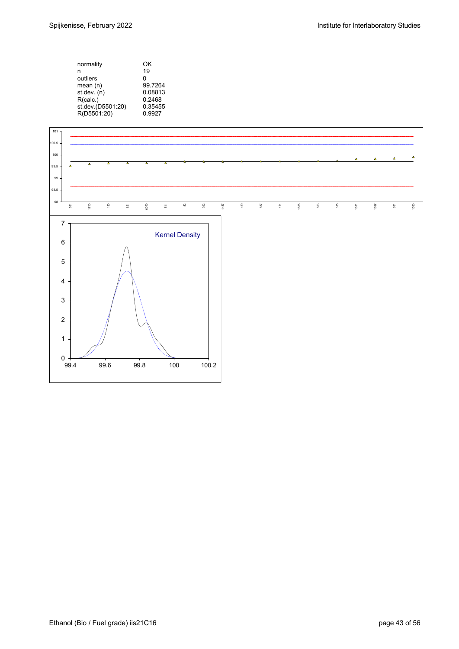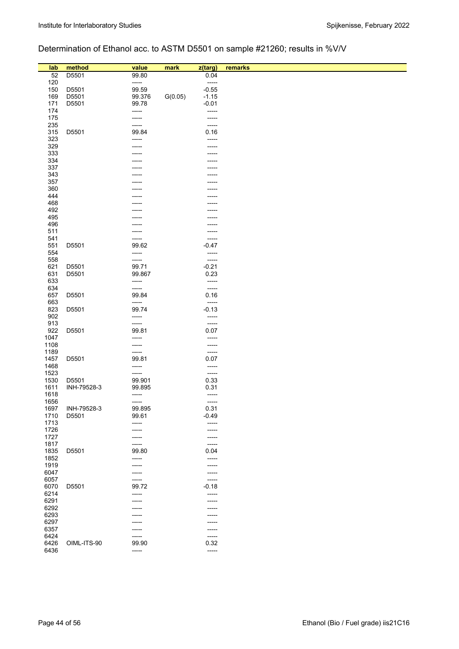# Determination of Ethanol acc. to ASTM D5501 on sample #21260; results in %V/V

| lab<br>52    | method<br>D5501 | value<br>99.80  | mark    | z(targ)<br>0.04  | remarks |
|--------------|-----------------|-----------------|---------|------------------|---------|
| 120          |                 | -----           |         | $-----$          |         |
| 150          | D5501           | 99.59           |         | $-0.55$          |         |
| 169          | D5501           | 99.376          | G(0.05) | $-1.15$          |         |
| 171          | D5501           | 99.78           |         | $-0.01$          |         |
| 174          |                 | -----           |         | -----            |         |
| 175          |                 | -----           |         | -----            |         |
| 235          |                 | -----           |         | -----            |         |
| 315          | D5501           | 99.84           |         | 0.16             |         |
| 323          |                 | -----           |         | -----            |         |
| 329          |                 | -----           |         | -----            |         |
| 333<br>334   |                 |                 |         |                  |         |
| 337          |                 |                 |         |                  |         |
| 343          |                 |                 |         |                  |         |
| 357          |                 |                 |         |                  |         |
| 360          |                 |                 |         |                  |         |
| 444          |                 |                 |         |                  |         |
| 468          |                 |                 |         |                  |         |
| 492          |                 |                 |         |                  |         |
| 495          |                 |                 |         |                  |         |
| 496          |                 |                 |         |                  |         |
| 511<br>541   |                 |                 |         |                  |         |
| 551          | D5501           | 99.62           |         | -----<br>$-0.47$ |         |
| 554          |                 | -----           |         | -----            |         |
| 558          |                 | -----           |         | -----            |         |
| 621          | D5501           | 99.71           |         | $-0.21$          |         |
| 631          | D5501           | 99.867          |         | 0.23             |         |
| 633          |                 | -----           |         | -----            |         |
| 634          |                 | -----           |         | -----            |         |
| 657          | D5501           | 99.84           |         | 0.16             |         |
| 663<br>823   | D5501           | -----<br>99.74  |         | -----<br>$-0.13$ |         |
| 902          |                 | -----           |         | -----            |         |
| 913          |                 | -----           |         | -----            |         |
| 922          | D5501           | 99.81           |         | 0.07             |         |
| 1047         |                 | -----           |         | -----            |         |
| 1108         |                 |                 |         | -----            |         |
| 1189         |                 | -----           |         | -----            |         |
| 1457         | D5501           | 99.81           |         | 0.07             |         |
| 1468         |                 | -----           |         | -----            |         |
| 1523<br>1530 | D5501           | -----<br>99.901 |         | -----<br>0.33    |         |
| 1611         | INH-79528-3     | 99.895          |         | 0.31             |         |
| 1618         |                 | -----           |         | -----            |         |
| 1656         |                 | -----           |         | -----            |         |
| 1697         | INH-79528-3     | 99.895          |         | 0.31             |         |
| 1710         | D5501           | 99.61           |         | $-0.49$          |         |
| 1713         |                 | -----           |         | -----            |         |
| 1726         |                 | -----           |         | -----            |         |
| 1727         |                 | -----           |         | -----            |         |
| 1817         |                 | ------          |         | -----            |         |
| 1835         | D5501           | 99.80           |         | 0.04             |         |
| 1852<br>1919 |                 | -----<br>-----  |         | -----<br>-----   |         |
| 6047         |                 | -----           |         | -----            |         |
| 6057         |                 | -----           |         | -----            |         |
| 6070         | D5501           | 99.72           |         | $-0.18$          |         |
| 6214         |                 | -----           |         | $-----$          |         |
| 6291         |                 |                 |         | -----            |         |
| 6292         |                 |                 |         |                  |         |
| 6293         |                 |                 |         | -----            |         |
| 6297         |                 |                 |         | -----            |         |
| 6357<br>6424 |                 |                 |         | -----<br>-----   |         |
| 6426         | OIML-ITS-90     | -----<br>99.90  |         | 0.32             |         |
| 6436         |                 | -----           |         | -----            |         |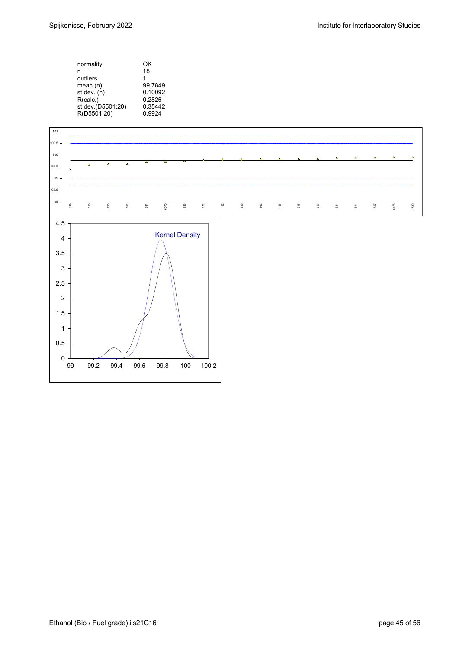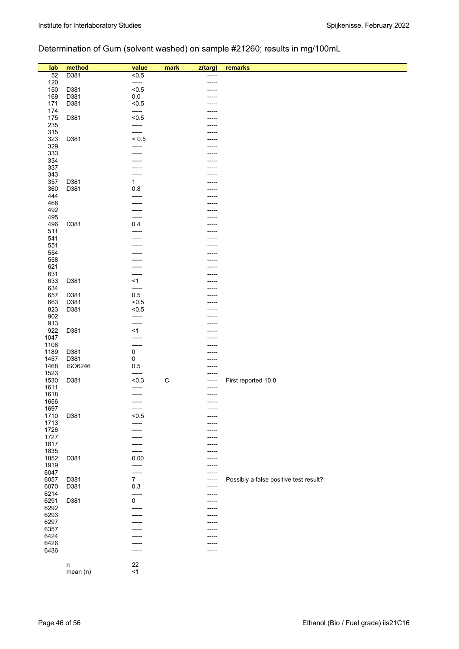# Determination of Gum (solvent washed) on sample #21260; results in mg/100mL

| lab        | method       | value          | mark        | z(targ) | remarks                                |
|------------|--------------|----------------|-------------|---------|----------------------------------------|
| 52         | D381         | < 0.5          |             | -----   |                                        |
| 120        |              | -----          |             |         |                                        |
| 150        | D381         | < 0.5          |             |         |                                        |
| 169        | D381         | 0.0            |             |         |                                        |
| 171        | D381         | < 0.5          |             |         |                                        |
| 174        |              | -----          |             | ----    |                                        |
|            |              |                |             |         |                                        |
| 175        | D381         | < 0.5          |             | -----   |                                        |
| 235        |              | -----          |             |         |                                        |
| 315        |              | -----          |             |         |                                        |
| 323        | D381         | ${}_{0.5}$     |             |         |                                        |
| 329        |              | -----          |             |         |                                        |
| 333        |              |                |             |         |                                        |
| 334        |              |                |             |         |                                        |
| 337        |              | -----          |             | -----   |                                        |
| 343        |              | -----          |             |         |                                        |
| 357        | D381         | $\mathbf{1}$   |             |         |                                        |
| 360        | D381         | 0.8            |             |         |                                        |
| 444        |              | -----          |             | ----    |                                        |
| 468        |              |                |             |         |                                        |
| 492        |              |                |             |         |                                        |
| 495        |              |                |             |         |                                        |
| 496        | D381         | 0.4            |             | -----   |                                        |
| 511        |              | -----          |             |         |                                        |
| 541        |              |                |             |         |                                        |
| 551        |              |                |             | ----    |                                        |
| 554        |              |                |             |         |                                        |
| 558        |              |                |             |         |                                        |
| 621        |              |                |             |         |                                        |
| 631        |              | -----          |             |         |                                        |
| 633        | D381         | $<$ 1          |             |         |                                        |
| 634        |              | -----          |             |         |                                        |
| 657        | D381         | 0.5            |             |         |                                        |
| 663<br>823 | D381<br>D381 | < 0.5<br>< 0.5 |             | ----    |                                        |
| 902        |              | -----          |             |         |                                        |
| 913        |              |                |             | .       |                                        |
| 922        | D381         | <1             |             |         |                                        |
| 1047       |              | -----          |             |         |                                        |
| 1108       |              | -----          |             |         |                                        |
| 1189       | D381         | 0              |             | ---     |                                        |
| 1457       | D381         | 0              |             | -----   |                                        |
| 1468       | ISO6246      | 0.5            |             | -----   |                                        |
| 1523       |              | -----          |             |         |                                        |
| 1530       | D381         | < 0.3          | $\mathsf C$ | -----   | First reported 10.8                    |
| 1611       |              | -----          |             | -----   |                                        |
| 1618       |              |                |             |         |                                        |
| 1656       |              | -----          |             | -----   |                                        |
| 1697       |              | -----          |             | -----   |                                        |
| 1710       | D381         | < 0.5          |             |         |                                        |
| 1713       |              |                |             | ----    |                                        |
| 1726       |              |                |             | -----   |                                        |
| 1727       |              |                |             | -----   |                                        |
| 1817       |              |                |             |         |                                        |
| 1835       |              | -----          |             |         |                                        |
| 1852       | D381         | 0.00           |             | ----    |                                        |
| 1919       |              | -----          |             | -----   |                                        |
| 6047       |              | -----          |             | ----    |                                        |
| 6057       | D381         | $\overline{7}$ |             | -----   | Possibly a false positive test result? |
| 6070       | D381         | 0.3            |             | -----   |                                        |
| 6214       |              | -----          |             | -----   |                                        |
| 6291       | D381         | 0              |             |         |                                        |
| 6292       |              |                |             |         |                                        |
| 6293       |              |                |             | ----    |                                        |
| 6297       |              |                |             | -----   |                                        |
| 6357       |              |                |             | ----    |                                        |
| 6424       |              |                |             | -----   |                                        |
| 6426       |              | -----          |             | -----   |                                        |
| 6436       |              | -----          |             |         |                                        |
|            |              |                |             |         |                                        |
|            | $\sf n$      | 22             |             |         |                                        |
|            | mean (n)     | $<$ 1          |             |         |                                        |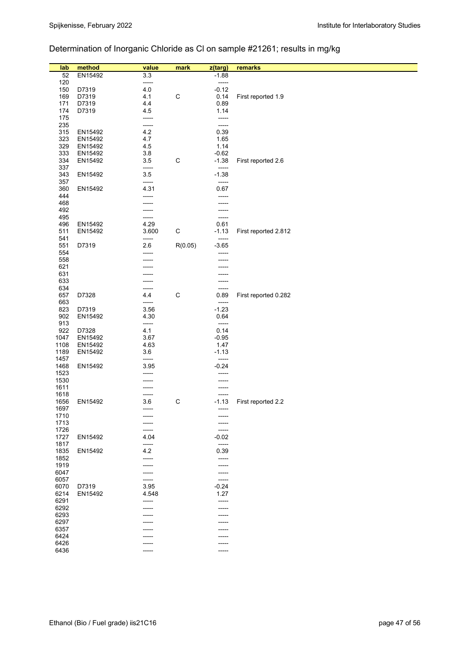# Determination of Inorganic Chloride as Cl on sample #21261; results in mg/kg

| lab          | method         | value        | mark        | z(targ)         | remarks              |
|--------------|----------------|--------------|-------------|-----------------|----------------------|
| 52           | EN15492        | 3.3          |             | $-1.88$         |                      |
| 120          |                | -----        |             | -----           |                      |
| 150          | D7319          | 4.0<br>4.1   | $\mathsf C$ | $-0.12$         |                      |
| 169<br>171   | D7319<br>D7319 | 4.4          |             | 0.14<br>0.89    | First reported 1.9   |
| 174          | D7319          | 4.5          |             | 1.14            |                      |
| 175          |                | -----        |             | -----           |                      |
| 235          |                | -----        |             | $-----$         |                      |
| 315          | EN15492        | 4.2          |             | 0.39            |                      |
| 323          | EN15492        | 4.7          |             | 1.65            |                      |
| 329          | EN15492        | 4.5          |             | 1.14            |                      |
| 333          | EN15492        | 3.8          |             | $-0.62$         |                      |
| 334          | EN15492        | 3.5          | $\mathsf C$ | $-1.38$         | First reported 2.6   |
| 337          |                | -----        |             | -----           |                      |
| 343          | EN15492        | 3.5          |             | $-1.38$         |                      |
| 357          |                | -----        |             | -----           |                      |
| 360          | EN15492        | 4.31         |             | 0.67            |                      |
| 444          |                | -----        |             | -----           |                      |
| 468          |                |              |             | -----           |                      |
| 492          |                |              |             |                 |                      |
| 495          |                | -----        |             | -----           |                      |
| 496          | EN15492        | 4.29         |             | 0.61            |                      |
| 511          | EN15492        | 3.600        | $\mathsf C$ | $-1.13$         | First reported 2.812 |
| 541          |                | -----        |             | -----           |                      |
| 551          | D7319          | 2.6          | R(0.05)     | $-3.65$         |                      |
| 554          |                |              |             | -----           |                      |
| 558          |                |              |             |                 |                      |
| 621          |                |              |             |                 |                      |
| 631          |                |              |             |                 |                      |
| 633          |                |              |             |                 |                      |
| 634          |                |              |             | -----           |                      |
| 657          | D7328          | 4.4          | $\mathsf C$ | 0.89            | First reported 0.282 |
| 663          |                | -----        |             | -----           |                      |
| 823<br>902   | D7319          | 3.56<br>4.30 |             | $-1.23$<br>0.64 |                      |
| 913          | EN15492        | -----        |             | -----           |                      |
| 922          | D7328          | 4.1          |             | 0.14            |                      |
| 1047         | EN15492        | 3.67         |             | $-0.95$         |                      |
| 1108         | EN15492        | 4.63         |             | 1.47            |                      |
| 1189         | EN15492        | 3.6          |             | $-1.13$         |                      |
| 1457         |                | -----        |             | -----           |                      |
| 1468         | EN15492        | 3.95         |             | $-0.24$         |                      |
| 1523         |                |              |             |                 |                      |
| 1530         |                |              |             |                 |                      |
| 1611         |                |              |             | -----           |                      |
| 1618         |                |              |             |                 |                      |
| 1656         | EN15492        | 3.6          | $\mathsf C$ | $-1.13$         | First reported 2.2   |
| 1697         |                |              |             |                 |                      |
| 1710         |                |              |             |                 |                      |
| 1713         |                |              |             |                 |                      |
| 1726         |                | -----        |             | -----           |                      |
| 1727         | EN15492        | 4.04         |             | $-0.02$         |                      |
| 1817         |                | -----        |             | -----           |                      |
| 1835         | EN15492        | 4.2          |             | 0.39            |                      |
| 1852<br>1919 |                | -----        |             | -----           |                      |
| 6047         |                |              |             | -----           |                      |
| 6057         |                |              |             | -----<br>-----  |                      |
| 6070         | D7319          | 3.95         |             | $-0.24$         |                      |
| 6214         | EN15492        | 4.548        |             | 1.27            |                      |
| 6291         |                | -----        |             | -----           |                      |
| 6292         |                |              |             |                 |                      |
| 6293         |                |              |             |                 |                      |
| 6297         |                |              |             |                 |                      |
| 6357         |                |              |             |                 |                      |
| 6424         |                |              |             |                 |                      |
| 6426         |                |              |             |                 |                      |
| 6436         |                | -----        |             | -----           |                      |
|              |                |              |             |                 |                      |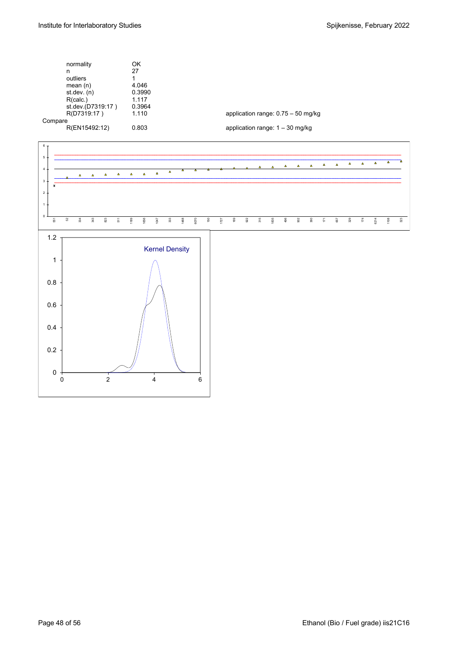|         | normality         | OK     |                                      |
|---------|-------------------|--------|--------------------------------------|
|         | n                 | 27     |                                      |
|         | outliers          |        |                                      |
|         | mean $(n)$        | 4.046  |                                      |
|         | st.dev. $(n)$     | 0.3990 |                                      |
|         | R(calc.)          | 1.117  |                                      |
|         | st.dev.(D7319:17) | 0.3964 |                                      |
|         | R(D7319:17)       | 1.110  | application range: $0.75 - 50$ mg/kg |
| Compare |                   |        |                                      |
|         | R(EN15492:12)     | 0.803  | application range: $1 - 30$ mg/kg    |
|         |                   |        |                                      |

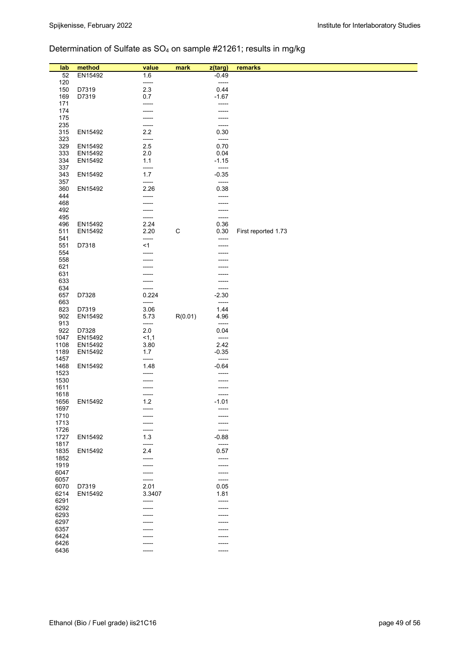# Determination of Sulfate as SO4 on sample #21261; results in mg/kg

| lab          | method  | value          | mark        | z(targ)            | remarks             |
|--------------|---------|----------------|-------------|--------------------|---------------------|
| 52<br>120    | EN15492 | 1.6<br>-----   |             | $-0.49$<br>-----   |                     |
| 150          | D7319   | 2.3            |             | 0.44               |                     |
| 169          | D7319   | 0.7            |             | $-1.67$            |                     |
| 171          |         | -----          |             | -----              |                     |
| 174          |         | -----          |             | -----              |                     |
| 175<br>235   |         | -----<br>----- |             | -----<br>-----     |                     |
| 315          | EN15492 | 2.2            |             | 0.30               |                     |
| 323          |         | -----          |             | $-----$            |                     |
| 329          | EN15492 | 2.5            |             | 0.70               |                     |
| 333          | EN15492 | 2.0            |             | 0.04               |                     |
| 334<br>337   | EN15492 | 1.1<br>-----   |             | $-1.15$<br>-----   |                     |
| 343          | EN15492 | 1.7            |             | $-0.35$            |                     |
| 357          |         | -----          |             | -----              |                     |
| 360          | EN15492 | 2.26           |             | 0.38               |                     |
| 444          |         | -----          |             | -----              |                     |
| 468<br>492   |         | -----          |             | -----<br>-----     |                     |
| 495          |         | -----          |             | -----              |                     |
| 496          | EN15492 | 2.24           |             | 0.36               |                     |
| 511          | EN15492 | 2.20           | $\mathsf C$ | 0.30               | First reported 1.73 |
| 541<br>551   | D7318   | -----<br>$<$ 1 |             |                    |                     |
| 554          |         | -----          |             |                    |                     |
| 558          |         |                |             |                    |                     |
| 621          |         |                |             |                    |                     |
| 631          |         |                |             |                    |                     |
| 633<br>634   |         | -----          |             | -----              |                     |
| 657          | D7328   | 0.224          |             | $-2.30$            |                     |
| 663          |         | -----          |             | -----              |                     |
| 823          | D7319   | 3.06           |             | 1.44               |                     |
| 902          | EN15492 | 5.73           | R(0.01)     | 4.96               |                     |
| 913<br>922   | D7328   | -----<br>2.0   |             | $-----$<br>0.04    |                     |
| 1047         | EN15492 | 1,1            |             | -----              |                     |
| 1108         | EN15492 | 3.80           |             | 2.42               |                     |
| 1189         | EN15492 | 1.7            |             | $-0.35$            |                     |
| 1457<br>1468 |         | -----<br>1.48  |             | -----<br>$-0.64$   |                     |
| 1523         | EN15492 | -----          |             | -----              |                     |
| 1530         |         |                |             |                    |                     |
| 1611         |         |                |             | -----              |                     |
| 1618         |         | -----          |             | -----<br>$-1.01$   |                     |
| 1656<br>1697 | EN15492 | 1.2            |             |                    |                     |
| 1710         |         |                |             |                    |                     |
| 1713         |         |                |             |                    |                     |
| 1726         |         | -----          |             | -----              |                     |
| 1727<br>1817 | EN15492 | 1.3<br>-----   |             | $-0.88$<br>$-----$ |                     |
| 1835         | EN15492 | 2.4            |             | 0.57               |                     |
| 1852         |         | ------         |             | -----              |                     |
| 1919         |         | -----          |             | -----              |                     |
| 6047         |         |                |             | -----              |                     |
| 6057<br>6070 | D7319   | -----<br>2.01  |             | -----<br>0.05      |                     |
| 6214         | EN15492 | 3.3407         |             | 1.81               |                     |
| 6291         |         | -----          |             | -----              |                     |
| 6292         |         |                |             | -----              |                     |
| 6293         |         |                |             | -----              |                     |
| 6297<br>6357 |         |                |             |                    |                     |
| 6424         |         |                |             |                    |                     |
| 6426         |         |                |             |                    |                     |
| 6436         |         | -----          |             | -----              |                     |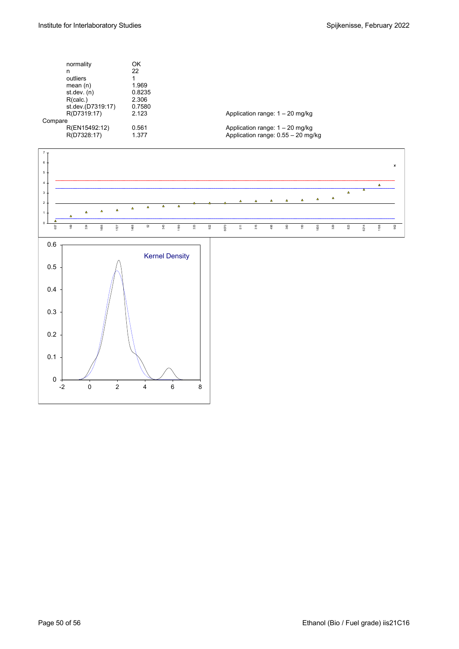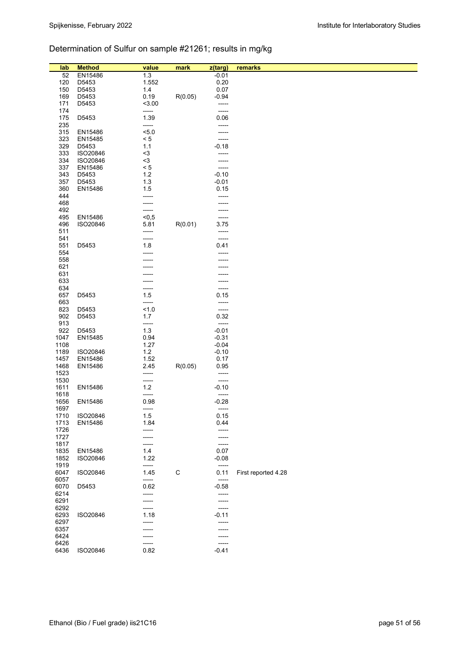# Determination of Sulfur on sample #21261; results in mg/kg

| lab          | <b>Method</b>  | value          | mark        | z(targ)          | remarks             |
|--------------|----------------|----------------|-------------|------------------|---------------------|
| 52           | EN15486        | 1.3            |             | $-0.01$          |                     |
| 120          | D5453          | 1.552          |             | 0.20             |                     |
| 150          | D5453          | 1.4            |             | 0.07             |                     |
| 169<br>171   | D5453<br>D5453 | 0.19<br>< 3.00 | R(0.05)     | $-0.94$<br>----- |                     |
| 174          |                | -----          |             | -----            |                     |
| 175          | D5453          | 1.39           |             | 0.06             |                     |
| 235          |                | -----          |             | -----            |                     |
| 315          | EN15486        | 5.0            |             | -----            |                     |
| 323          | EN15485        | < 5            |             | -----            |                     |
| 329          | D5453          | 1.1            |             | $-0.18$          |                     |
| 333          | ISO20846       | $3$            |             | -----            |                     |
| 334          | ISO20846       | $3$            |             | -----            |                     |
| 337          | EN15486        | $< 5$          |             | -----            |                     |
| 343          | D5453          | 1.2            |             | $-0.10$          |                     |
| 357          | D5453          | 1.3            |             | $-0.01$          |                     |
| 360          | EN15486        | 1.5            |             | 0.15             |                     |
| 444          |                |                |             | -----            |                     |
| 468          |                |                |             |                  |                     |
| 492          |                |                |             |                  |                     |
| 495          | EN15486        | < 0, 5         |             | -----            |                     |
| 496          | ISO20846       | 5.81           | R(0.01)     | 3.75             |                     |
| 511          |                | -----          |             | -----            |                     |
| 541          |                | -----          |             | -----            |                     |
| 551<br>554   | D5453          | 1.8            |             | 0.41             |                     |
| 558          |                |                |             |                  |                     |
| 621          |                |                |             |                  |                     |
| 631          |                |                |             |                  |                     |
| 633          |                |                |             |                  |                     |
| 634          |                |                |             | -----            |                     |
| 657          | D5453          | 1.5            |             | 0.15             |                     |
| 663          |                | -----          |             | -----            |                     |
| 823          | D5453          | 1.0            |             | -----            |                     |
| 902          | D5453          | 1.7            |             | 0.32             |                     |
| 913          |                | -----          |             | $-----1$         |                     |
| 922          | D5453          | 1.3            |             | $-0.01$          |                     |
| 1047         | EN15485        | 0.94           |             | $-0.31$          |                     |
| 1108         |                | 1.27           |             | $-0.04$          |                     |
| 1189         | ISO20846       | 1.2            |             | $-0.10$          |                     |
| 1457         | EN15486        | 1.52           |             | 0.17             |                     |
| 1468         | EN15486        | 2.45           | R(0.05)     | 0.95             |                     |
| 1523<br>1530 |                | -----          |             | -----            |                     |
| 1611         | EN15486        | -----<br>$1.2$ |             | -----<br>$-0.10$ |                     |
| 1618         |                | -----          |             | -----            |                     |
| 1656         | EN15486        | 0.98           |             | $-0.28$          |                     |
| 1697         |                | $-----1$       |             | -----            |                     |
| 1710         | ISO20846       | 1.5            |             | 0.15             |                     |
| 1713         | EN15486        | 1.84           |             | 0.44             |                     |
| 1726         |                | -----          |             | -----            |                     |
| 1727         |                |                |             | -----            |                     |
| 1817         |                |                |             | $-----$          |                     |
| 1835         | EN15486        | 1.4            |             | 0.07             |                     |
| 1852         | ISO20846       | 1.22           |             | $-0.08$          |                     |
| 1919         |                | -----          |             | -----            |                     |
| 6047         | ISO20846       | 1.45           | $\mathsf C$ | 0.11             | First reported 4.28 |
| 6057         |                | -----          |             | $-----$          |                     |
| 6070         | D5453          | 0.62           |             | $-0.58$          |                     |
| 6214         |                |                |             | -----            |                     |
| 6291         |                |                |             | -----            |                     |
| 6292<br>6293 | ISO20846       | 1.18           |             | -----<br>$-0.11$ |                     |
| 6297         |                |                |             | -----            |                     |
| 6357         |                |                |             | ----             |                     |
| 6424         |                |                |             |                  |                     |
| 6426         |                | -----          |             | -----            |                     |
| 6436         | ISO20846       | 0.82           |             | $-0.41$          |                     |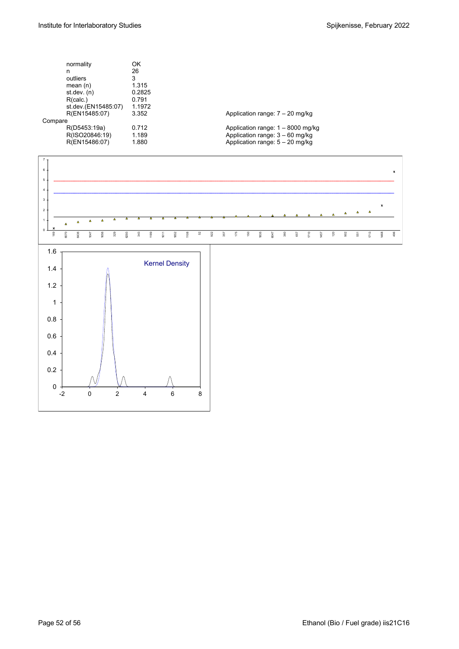|         | normality           | OK     |                                     |
|---------|---------------------|--------|-------------------------------------|
|         | n                   | 26     |                                     |
|         | outliers            | 3      |                                     |
|         | mean $(n)$          | 1.315  |                                     |
|         | st.dev. (n)         | 0.2825 |                                     |
|         | R(calc.)            | 0.791  |                                     |
|         | st.dev.(EN15485:07) | 1.1972 |                                     |
|         | R(EN15485:07)       | 3.352  | Application range: $7 - 20$ mg/kg   |
| Compare |                     |        |                                     |
|         | R(D5453:19a)        | 0.712  | Application range: $1 - 8000$ mg/kg |
|         | R(ISO20846:19)      | 1.189  | Application range: $3 - 60$ mg/kg   |
|         | R(EN15486:07)       | 1.880  | Application range: $5 - 20$ mg/kg   |
|         |                     |        |                                     |

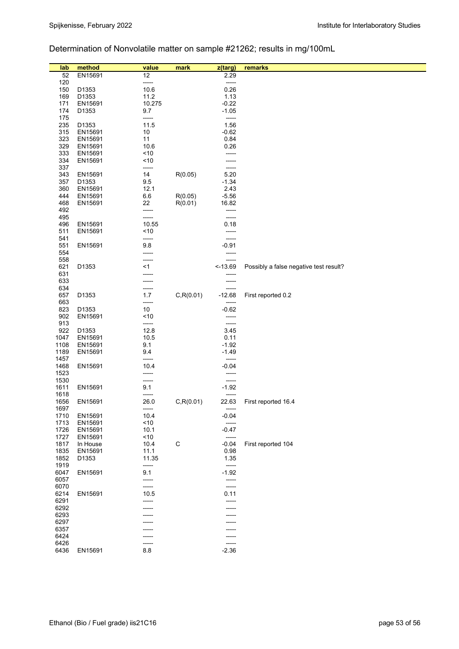# Determination of Nonvolatile matter on sample #21262; results in mg/100mL

| lab<br>52    | method<br>EN15691 | value<br>12   | mark        | z(targ)<br>2.29  | remarks                                |
|--------------|-------------------|---------------|-------------|------------------|----------------------------------------|
| 120          |                   | -----         |             | -----            |                                        |
| 150          | D1353             | 10.6          |             | 0.26             |                                        |
| 169          | D1353             | 11.2          |             | 1.13             |                                        |
| 171          | EN15691           | 10.275        |             | $-0.22$          |                                        |
| 174          | D1353             | 9.7           |             | $-1.05$          |                                        |
| 175          |                   | -----         |             | -----            |                                        |
| 235          | D1353             | 11.5          |             | 1.56             |                                        |
| 315          | EN15691           | 10            |             | $-0.62$          |                                        |
| 323          | EN15691           | 11            |             | 0.84             |                                        |
| 329          | EN15691           | 10.6          |             | 0.26             |                                        |
| 333          | EN15691           | ~10           |             | -----            |                                        |
| 334<br>337   | EN15691           | ~10           |             | -----            |                                        |
| 343          | EN15691           | -----<br>14   | R(0.05)     | -----<br>5.20    |                                        |
| 357          | D1353             | 9.5           |             | $-1.34$          |                                        |
| 360          | EN15691           | 12.1          |             | 2.43             |                                        |
| 444          | EN15691           | 6.6           | R(0.05)     | $-5.56$          |                                        |
| 468          | EN15691           | 22            | R(0.01)     | 16.82            |                                        |
| 492          |                   | -----         |             | -----            |                                        |
| 495          |                   | -----         |             | -----            |                                        |
| 496          | EN15691           | 10.55         |             | 0.18             |                                        |
| 511          | EN15691           | ~10           |             | -----            |                                        |
| 541          |                   | -----         |             | -----            |                                        |
| 551<br>554   | EN15691           | 9.8<br>-----  |             | $-0.91$<br>----- |                                        |
| 558          |                   | ------        |             | -----            |                                        |
| 621          | D1353             | < 1           |             | $-13.69$         | Possibly a false negative test result? |
| 631          |                   |               |             |                  |                                        |
| 633          |                   |               |             |                  |                                        |
| 634          |                   | -----         |             | -----            |                                        |
| 657          | D1353             | 1.7           | C, R(0.01)  | $-12.68$         | First reported 0.2                     |
| 663          |                   | -----         |             | -----            |                                        |
| 823          | D1353             | 10            |             | $-0.62$          |                                        |
| 902<br>913   | EN15691           | ~10<br>-----  |             | -----<br>-----   |                                        |
| 922          | D1353             | 12.8          |             | 3.45             |                                        |
| 1047         | EN15691           | 10.5          |             | 0.11             |                                        |
| 1108         | EN15691           | 9.1           |             | $-1.92$          |                                        |
| 1189         | EN15691           | 9.4           |             | $-1.49$          |                                        |
| 1457         |                   | -----         |             | -----            |                                        |
| 1468         | EN15691           | 10.4          |             | $-0.04$          |                                        |
| 1523         |                   | -----         |             | -----            |                                        |
| 1530<br>1611 | EN15691           | -----<br>9.1  |             | -----<br>$-1.92$ |                                        |
| 1618         |                   | -----         |             | -----            |                                        |
| 1656         | EN15691           | 26.0          | C, R(0.01)  | 22.63            | First reported 16.4                    |
| 1697         |                   | -----         |             | -----            |                                        |
| 1710         | EN15691           | 10.4          |             | $-0.04$          |                                        |
| 1713         | EN15691           | ~10           |             | $-----$          |                                        |
| 1726         | EN15691           | 10.1          |             | $-0.47$          |                                        |
| 1727         | EN15691           | < 10          |             | $-----$          |                                        |
| 1817         | In House          | 10.4          | $\mathsf C$ | $-0.04$          | First reported 104                     |
| 1835<br>1852 | EN15691<br>D1353  | 11.1<br>11.35 |             | 0.98<br>1.35     |                                        |
| 1919         |                   | -----         |             | -----            |                                        |
| 6047         | EN15691           | 9.1           |             | $-1.92$          |                                        |
| 6057         |                   | -----         |             | -----            |                                        |
| 6070         |                   | -----         |             | -----            |                                        |
| 6214         | EN15691           | 10.5          |             | 0.11             |                                        |
| 6291         |                   | -----         |             | -----            |                                        |
| 6292         |                   |               |             |                  |                                        |
| 6293<br>6297 |                   |               |             |                  |                                        |
| 6357         |                   |               |             |                  |                                        |
| 6424         |                   |               |             |                  |                                        |
| 6426         |                   | -----         |             | -----            |                                        |
| 6436         | EN15691           | 8.8           |             | $-2.36$          |                                        |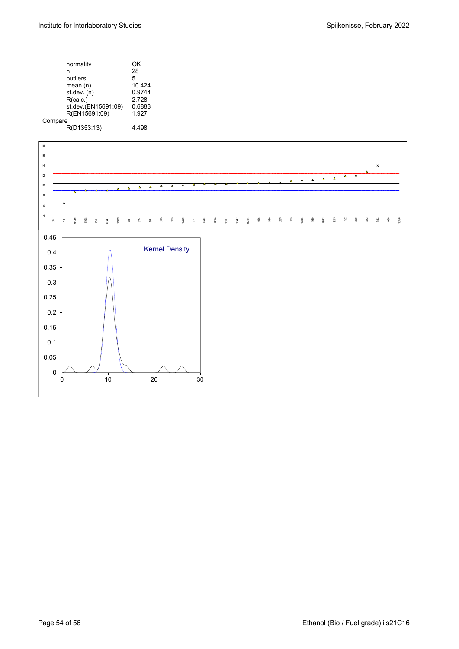|         | normality           | OK     |
|---------|---------------------|--------|
|         | n                   | 28     |
|         | outliers            | 5      |
|         | mean $(n)$          | 10.424 |
|         | st.dev. (n)         | 0.9744 |
|         | R(calc.)            | 2.728  |
|         | st.dev.(EN15691:09) | 0.6883 |
|         | R(EN15691:09)       | 1.927  |
| Compare |                     |        |
|         | R(D1353:13)         | 4 498  |
|         |                     |        |

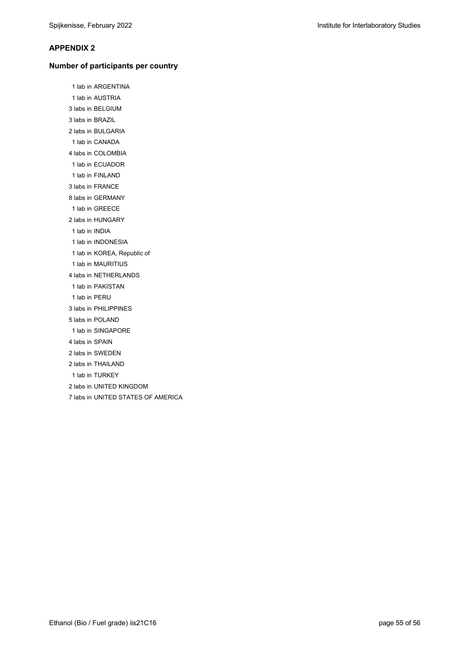### **APPENDIX 2**

#### **Number of participants per country**

 1 lab in ARGENTINA 1 lab in AUSTRIA 3 labs in BELGIUM 3 labs in BRAZIL 2 labs in BULGARIA 1 lab in CANADA 4 labs in COLOMBIA 1 lab in ECUADOR 1 lab in FINLAND 3 labs in FRANCE 8 labs in GERMANY 1 lab in GREECE 2 labs in HUNGARY 1 lab in INDIA 1 lab in INDONESIA 1 lab in KOREA, Republic of 1 lab in MAURITIUS 4 labs in NETHERLANDS 1 lab in PAKISTAN 1 lab in PERU 3 labs in PHILIPPINES 5 labs in POLAND 1 lab in SINGAPORE 4 labs in SPAIN 2 labs in SWEDEN 2 labs in THAILAND 1 lab in TURKEY 2 labs in UNITED KINGDOM 7 labs in UNITED STATES OF AMERICA